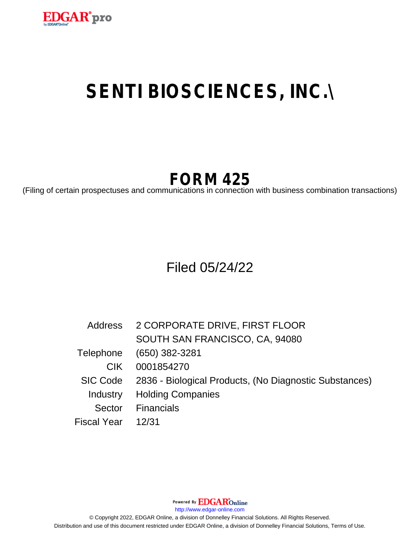

# **SENTI BIOSCIENCES, INC.\**

# **FORM 425**

(Filing of certain prospectuses and communications in connection with business combination transactions)

## Filed 05/24/22

| <b>Address</b> | 2 CORPORATE DRIVE, FIRST FLOOR                         |
|----------------|--------------------------------------------------------|
|                | SOUTH SAN FRANCISCO, CA, 94080                         |
|                | Telephone (650) 382-3281                               |
| CIK.           | 0001854270                                             |
| SIC Code       | 2836 - Biological Products, (No Diagnostic Substances) |
| Industry       | <b>Holding Companies</b>                               |
|                | Sector Financials                                      |
| Fiscal Year    | 12/31                                                  |

Powered By EDGAROnline

http://www.edgar-online.com

© Copyright 2022, EDGAR Online, a division of Donnelley Financial Solutions. All Rights Reserved. Distribution and use of this document restricted under EDGAR Online, a division of Donnelley Financial Solutions, Terms of Use.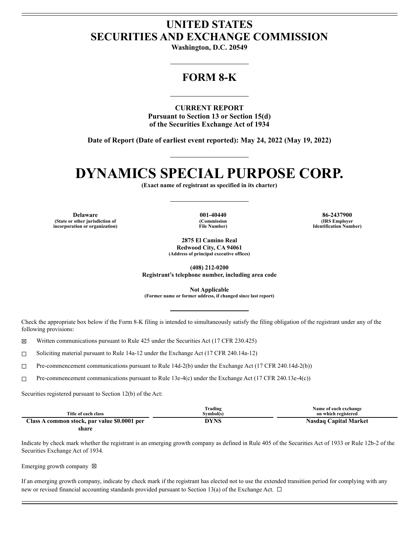### **UNITED STATES SECURITIES AND EXCHANGE COMMISSION**

Washington, D.C. 20549

### **FORM 8-K**

**CURRENT REPORT Pursuant to Section 13 or Section 15(d)** of the Securities Exchange Act of 1934

Date of Report (Date of earliest event reported): May 24, 2022 (May 19, 2022)

## **DYNAMICS SPECIAL PURPOSE CORP.**

(Exact name of registrant as specified in its charter)

**Delaware** (State or other jurisdiction of incorporation or organization)

001-40440 (Commission File Number)

86-2437900 (IRS Employer **Identification Number)** 

2875 El Camino Real Redwood City, CA 94061 (Address of principal executive offices)

 $(408)$  212-0200 Registrant's telephone number, including area code

**Not Applicable** 

(Former name or former address, if changed since last report)

Check the appropriate box below if the Form 8-K filing is intended to simultaneously satisfy the filing obligation of the registrant under any of the following provisions:

Written communications pursuant to Rule 425 under the Securities Act (17 CFR 230.425)  $\boxtimes$ 

Soliciting material pursuant to Rule 14a-12 under the Exchange Act (17 CFR 240.14a-12)  $\Box$ 

Pre-commencement communications pursuant to Rule 14d-2(b) under the Exchange Act (17 CFR 240.14d-2(b))  $\Box$ 

Pre-commencement communications pursuant to Rule 13e-4(c) under the Exchange Act (17 CFR 240.13e-4(c))  $\Box$ 

Securities registered pursuant to Section 12(b) of the Act:

| Title of each class                          | Frading<br>Svmbol(s) | Name of each exchange<br>on which registered |
|----------------------------------------------|----------------------|----------------------------------------------|
| Class A common stock, par value \$0.0001 per | DYNS                 | <b>Nasdaq Capital Market</b>                 |

share

Indicate by check mark whether the registrant is an emerging growth company as defined in Rule 405 of the Securities Act of 1933 or Rule 12b-2 of the Securities Exchange Act of 1934.

Emerging growth company  $\boxtimes$ 

If an emerging growth company, indicate by check mark if the registrant has elected not to use the extended transition period for complying with any new or revised financial accounting standards provided pursuant to Section 13(a) of the Exchange Act.  $\Box$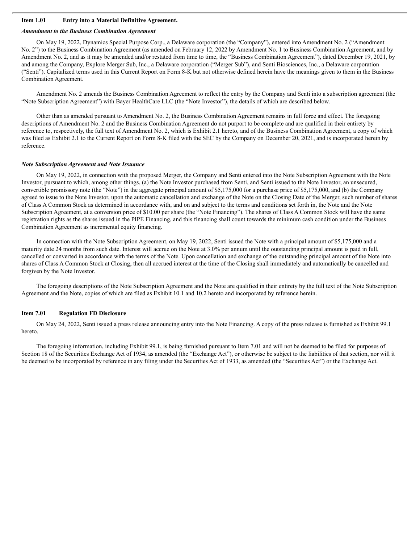#### **Item 1.01 Entry into a Material Definitive Agreement.**

#### *Amendment to the Business Combination Agreement*

On May 19, 2022, Dynamics Special Purpose Corp., a Delaware corporation (the "Company"), entered into Amendment No. 2 ("Amendment No. 2") to the Business Combination Agreement (as amended on February 12, 2022 by Amendment No. 1 to Business Combination Agreement, and by Amendment No. 2, and as it may be amended and/or restated from time to time, the "Business Combination Agreement"), dated December 19, 2021, by and among the Company, Explore Merger Sub, Inc., a Delaware corporation ("Merger Sub"), and Senti Biosciences, Inc., a Delaware corporation ("Senti"). Capitalized terms used in this Current Report on Form 8-K but not otherwise defined herein have the meanings given to them in the Business Combination Agreement.

Amendment No. 2 amends the Business Combination Agreement to reflect the entry by the Company and Senti into a subscription agreement (the "Note Subscription Agreement") with Bayer HealthCare LLC (the "Note Investor"), the details of which are described below.

Other than as amended pursuant to Amendment No. 2, the Business Combination Agreement remains in full force and effect. The foregoing descriptions of Amendment No. 2 and the Business Combination Agreement do not purport to be complete and are qualified in their entirety by reference to, respectively, the full text of Amendment No. 2, which is Exhibit 2.1 hereto, and of the Business Combination Agreement, a copy of which was filed as Exhibit 2.1 to the Current Report on Form 8-K filed with the SEC by the Company on December 20, 2021, and is incorporated herein by reference.

#### *Note Subscription Agreement and Note Issuance*

On May 19, 2022, in connection with the proposed Merger, the Company and Senti entered into the Note Subscription Agreement with the Note Investor, pursuant to which, among other things, (a) the Note Investor purchased from Senti, and Senti issued to the Note Investor, an unsecured, convertible promissory note (the "Note") in the aggregate principal amount of \$5,175,000 for a purchase price of \$5,175,000, and (b) the Company agreed to issue to the Note Investor, upon the automatic cancellation and exchange of the Note on the Closing Date of the Merger, such number of shares of Class A Common Stock as determined in accordance with, and on and subject to the terms and conditions set forth in, the Note and the Note Subscription Agreement, at a conversion price of \$10.00 per share (the "Note Financing"). The shares of Class A Common Stock will have the same registration rights as the shares issued in the PIPE Financing, and this financing shall count towards the minimum cash condition under the Business Combination Agreement as incremental equity financing.

In connection with the Note Subscription Agreement, on May 19, 2022, Senti issued the Note with a principal amount of \$5,175,000 and a maturity date 24 months from such date. Interest will accrue on the Note at 3.0% per annum until the outstanding principal amount is paid in full, cancelled or converted in accordance with the terms of the Note. Upon cancellation and exchange of the outstanding principal amount of the Note into shares of Class A Common Stock at Closing, then all accrued interest at the time of the Closing shall immediately and automatically be cancelled and forgiven by the Note Investor.

The foregoing descriptions of the Note Subscription Agreement and the Note are qualified in their entirety by the full text of the Note Subscription Agreement and the Note, copies of which are filed as Exhibit 10.1 and 10.2 hereto and incorporated by reference herein.

#### **Item 7.01 Regulation FD Disclosure**

On May 24, 2022, Senti issued a press release announcing entry into the Note Financing. A copy of the press release is furnished as Exhibit 99.1 hereto.

The foregoing information, including Exhibit 99.1, is being furnished pursuant to Item 7.01 and will not be deemed to be filed for purposes of Section 18 of the Securities Exchange Act of 1934, as amended (the "Exchange Act"), or otherwise be subject to the liabilities of that section, nor will it be deemed to be incorporated by reference in any filing under the Securities Act of 1933, as amended (the "Securities Act") or the Exchange Act.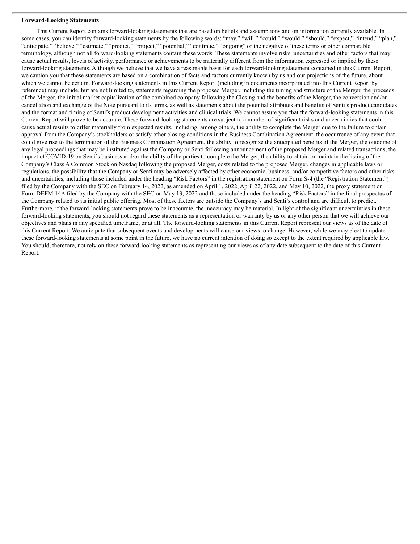#### **Forward-Looking Statements**

This Current Report contains forward-looking statements that are based on beliefs and assumptions and on information currently available. In some cases, you can identify forward-looking statements by the following words: "may," "will," "could," "would," "should," "expect," "intend," "plan," "anticipate," "believe," "estimate," "predict," "project," "potential," "continue," "ongoing" or the negative of these terms or other comparable terminology, although not all forward-looking statements contain these words. These statements involve risks, uncertainties and other factors that may cause actual results, levels of activity, performance or achievements to be materially different from the information expressed or implied by these forward-looking statements. Although we believe that we have a reasonable basis for each forward-looking statement contained in this Current Report, we caution you that these statements are based on a combination of facts and factors currently known by us and our projections of the future, about which we cannot be certain. Forward-looking statements in this Current Report (including in documents incorporated into this Current Report by reference) may include, but are not limited to, statements regarding the proposed Merger, including the timing and structure of the Merger, the proceeds of the Merger, the initial market capitalization of the combined company following the Closing and the benefits of the Merger, the conversion and/or cancellation and exchange of the Note pursuant to its terms, as well as statements about the potential attributes and benefits of Senti's product candidates and the format and timing of Senti's product development activities and clinical trials. We cannot assure you that the forward-looking statements in this Current Report will prove to be accurate. These forward-looking statements are subject to a number of significant risks and uncertainties that could cause actual results to differ materially from expected results, including, among others, the ability to complete the Merger due to the failure to obtain approval from the Company's stockholders or satisfy other closing conditions in the Business Combination Agreement, the occurrence of any event that could give rise to the termination of the Business Combination Agreement, the ability to recognize the anticipated benefits of the Merger, the outcome of any legal proceedings that may be instituted against the Company or Senti following announcement of the proposed Merger and related transactions, the impact of COVID-19 on Senti's business and/or the ability of the parties to complete the Merger, the ability to obtain or maintain the listing of the Company's Class A Common Stock on Nasdaq following the proposed Merger, costs related to the proposed Merger, changes in applicable laws or regulations, the possibility that the Company or Senti may be adversely affected by other economic, business, and/or competitive factors and other risks and uncertainties, including those included under the heading "Risk Factors" in the registration statement on Form S-4 (the "Registration Statement") filed by the Company with the SEC on February 14, 2022, as amended on April 1, 2022, April 22, 2022, and May 10, 2022, the proxy statement on Form DEFM 14A filed by the Company with the SEC on May 13, 2022 and those included under the heading "Risk Factors" in the final prospectus of the Company related to its initial public offering. Most of these factors are outside the Company's and Senti's control and are difficult to predict. Furthermore, if the forward-looking statements prove to be inaccurate, the inaccuracy may be material. In light of the significant uncertainties in these forward-looking statements, you should not regard these statements as a representation or warranty by us or any other person that we will achieve our objectives and plans in any specified timeframe, or at all. The forward-looking statements in this Current Report represent our views as of the date of this Current Report. We anticipate that subsequent events and developments will cause our views to change. However, while we may elect to update these forward-looking statements at some point in the future, we have no current intention of doing so except to the extent required by applicable law. You should, therefore, not rely on these forward-looking statements as representing our views as of any date subsequent to the date of this Current Report.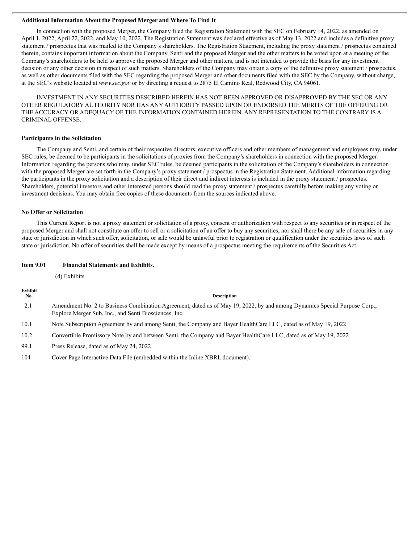#### **Additional Information About the Proposed Merger and Where To Find It**

In connection with the proposed Merger, the Company filed the Registration Statement with the SEC on February 14, 2022, as amended on April 1, 2022, April 22, 2022, and May 10, 2022. The Registration Statement was declared effective as of May 13, 2022 and includes a definitive proxy statement / prospectus that was mailed to the Company's shareholders. The Registration Statement, including the proxy statement / prospectus contained therein, contains important information about the Company, Senti and the proposed Merger and the other matters to be voted upon at a meeting of the Company's shareholders to be held to approve the proposed Merger and other matters, and is not intended to provide the basis for any investment decision or any other decision in respect of such matters. Shareholders of the Company may obtain a copy of the definitive proxy statement / prospectus, as well as other documents filed with the SEC regarding the proposed Merger and other documents filed with the SEC by the Company, without charge, at the SEC's website located at *www.sec.gov* or by directing a request to 2875 El Camino Real, Redwood City, CA 94061.

INVESTMENT IN ANY SECURITIES DESCRIBED HEREIN HAS NOT BEEN APPROVED OR DISAPPROVED BY THE SEC OR ANY OTHER REGULATORY AUTHORITY NOR HAS ANY AUTHORITY PASSED UPON OR ENDORSED THE MERITS OF THE OFFERING OR THE ACCURACY OR ADEQUACY OF THE INFORMATION CONTAINED HEREIN. ANY REPRESENTATION TO THE CONTRARY IS A CRIMINAL OFFENSE.

#### **Participants in the Solicitation**

The Company and Senti, and certain of their respective directors, executive officers and other members of management and employees may, under SEC rules, be deemed to be participants in the solicitations of proxies from the Company's shareholders in connection with the proposed Merger. Information regarding the persons who may, under SEC rules, be deemed participants in the solicitation of the Company's shareholders in connection with the proposed Merger are set forth in the Company's proxy statement / prospectus in the Registration Statement. Additional information regarding the participants in the proxy solicitation and a description of their direct and indirect interests is included in the proxy statement / prospectus. Shareholders, potential investors and other interested persons should read the proxy statement / prospectus carefully before making any voting or investment decisions. You may obtain free copies of these documents from the sources indicated above.

#### **No Offer or Solicitation**

This Current Report is not a proxy statement or solicitation of a proxy, consent or authorization with respect to any securities or in respect of the proposed Merger and shall not constitute an offer to sell or a solicitation of an offer to buy any securities, nor shall there be any sale of securities in any state or jurisdiction in which such offer, solicitation, or sale would be unlawful prior to registration or qualification under the securities laws of such state or jurisdiction. No offer of securities shall be made except by means of a prospectus meeting the requirements of the Securities Act.

#### **Item 9.01 Financial Statements and Exhibits.**

(d) Exhibits

| Exhibit<br>No. | <b>Description</b>                                                                                                                                                                 |
|----------------|------------------------------------------------------------------------------------------------------------------------------------------------------------------------------------|
| 2.1            | Amendment No. 2 to Business Combination Agreement, dated as of May 19, 2022, by and among Dynamics Special Purpose Corp.,<br>Explore Merger Sub, Inc., and Senti Biosciences, Inc. |
| 10.1           | Note Subscription Agreement by and among Senti, the Company and Bayer HealthCare LLC, dated as of May 19, 2022                                                                     |
| 10.2           | Convertible Promissory Note by and between Senti, the Company and Bayer HealthCare LLC, dated as of May 19, 2022                                                                   |
| 99.1           | Press Release, dated as of May 24, 2022                                                                                                                                            |
| 104            | Cover Page Interactive Data File (embedded within the Inline XBRL document).                                                                                                       |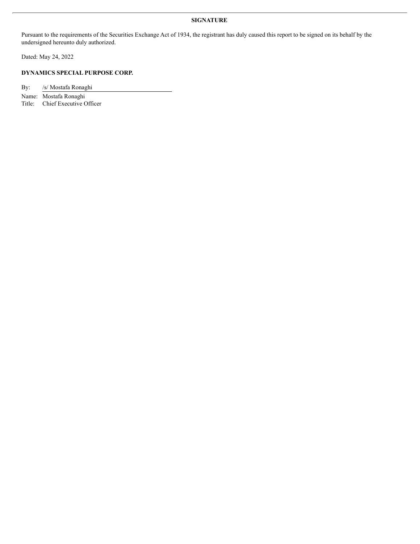#### **SIGNATURE**

Pursuant to the requirements of the Securities Exchange Act of 1934, the registrant has duly caused this report to be signed on its behalf by the undersigned hereunto duly authorized.

Dated: May 24, 2022

#### **DYNAMICS SPECIAL PURPOSE CORP.**

By: /s/ Mostafa Ronaghi

Name: Mostafa Ronaghi

Title: Chief Executive Officer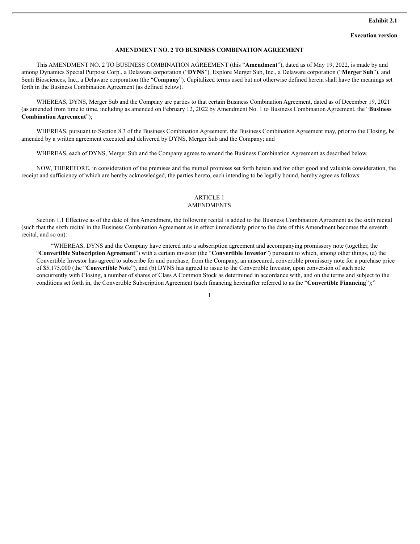#### **AMENDMENT NO. 2 TO BUSINESS COMBINATION AGREEMENT**

This AMENDMENT NO. 2 TO BUSINESS COMBINATION AGREEMENT (this "**Amendment**"), dated as of May 19, 2022, is made by and among Dynamics Special Purpose Corp., a Delaware corporation ("**DYNS**"), Explore Merger Sub, Inc., a Delaware corporation ("**Merger Sub**"), and Senti Biosciences, Inc., a Delaware corporation (the "**Company**"). Capitalized terms used but not otherwise defined herein shall have the meanings set forth in the Business Combination Agreement (as defined below).

WHEREAS, DYNS, Merger Sub and the Company are parties to that certain Business Combination Agreement, dated as of December 19, 2021 (as amended from time to time, including as amended on February 12, 2022 by Amendment No. 1 to Business Combination Agreement, the "**Business Combination Agreement**");

WHEREAS, pursuant to Section 8.3 of the Business Combination Agreement, the Business Combination Agreement may, prior to the Closing, be amended by a written agreement executed and delivered by DYNS, Merger Sub and the Company; and

WHEREAS, each of DYNS, Merger Sub and the Company agrees to amend the Business Combination Agreement as described below.

NOW, THEREFORE, in consideration of the premises and the mutual promises set forth herein and for other good and valuable consideration, the receipt and sufficiency of which are hereby acknowledged, the parties hereto, each intending to be legally bound, hereby agree as follows:

#### ARTICLE 1

#### AMENDMENTS

Section 1.1 Effective as of the date of this Amendment, the following recital is added to the Business Combination Agreement as the sixth recital (such that the sixth recital in the Business Combination Agreement as in effect immediately prior to the date of this Amendment becomes the seventh recital, and so on):

"WHEREAS, DYNS and the Company have entered into a subscription agreement and accompanying promissory note (together, the "**Convertible Subscription Agreement**") with a certain investor (the "**Convertible Investor**") pursuant to which, among other things, (a) the Convertible Investor has agreed to subscribe for and purchase, from the Company, an unsecured, convertible promissory note for a purchase price of \$5,175,000 (the "**Convertible Note**"), and (b) DYNS has agreed to issue to the Convertible Investor, upon conversion of such note concurrently with Closing, a number of shares of Class A Common Stock as determined in accordance with, and on the terms and subject to the conditions set forth in, the Convertible Subscription Agreement (such financing hereinafter referred to as the "**Convertible Financing**");"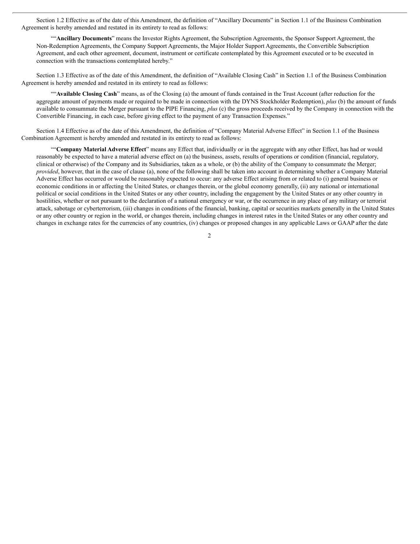Section 1.2 Effective as of the date of this Amendment, the definition of "Ancillary Documents" in Section 1.1 of the Business Combination Agreement is hereby amended and restated in its entirety to read as follows:

""**Ancillary Documents**" means the Investor Rights Agreement, the Subscription Agreements, the Sponsor Support Agreement, the Non-Redemption Agreements, the Company Support Agreements, the Major Holder Support Agreements, the Convertible Subscription Agreement, and each other agreement, document, instrument or certificate contemplated by this Agreement executed or to be executed in connection with the transactions contemplated hereby."

Section 1.3 Effective as of the date of this Amendment, the definition of "Available Closing Cash" in Section 1.1 of the Business Combination Agreement is hereby amended and restated in its entirety to read as follows:

""**Available Closing Cash**" means, as of the Closing (a) the amount of funds contained in the Trust Account (after reduction for the aggregate amount of payments made or required to be made in connection with the DYNS Stockholder Redemption), *plus* (b) the amount of funds available to consummate the Merger pursuant to the PIPE Financing, *plus* (c) the gross proceeds received by the Company in connection with the Convertible Financing, in each case, before giving effect to the payment of any Transaction Expenses."

Section 1.4 Effective as of the date of this Amendment, the definition of "Company Material Adverse Effect" in Section 1.1 of the Business Combination Agreement is hereby amended and restated in its entirety to read as follows:

""**Company Material Adverse Effect**" means any Effect that, individually or in the aggregate with any other Effect, has had or would reasonably be expected to have a material adverse effect on (a) the business, assets, results of operations or condition (financial, regulatory, clinical or otherwise) of the Company and its Subsidiaries, taken as a whole, or (b) the ability of the Company to consummate the Merger; *provided*, however, that in the case of clause (a), none of the following shall be taken into account in determining whether a Company Material Adverse Effect has occurred or would be reasonably expected to occur: any adverse Effect arising from or related to (i) general business or economic conditions in or affecting the United States, or changes therein, or the global economy generally, (ii) any national or international political or social conditions in the United States or any other country, including the engagement by the United States or any other country in hostilities, whether or not pursuant to the declaration of a national emergency or war, or the occurrence in any place of any military or terrorist attack, sabotage or cyberterrorism, (iii) changes in conditions of the financial, banking, capital or securities markets generally in the United States or any other country or region in the world, or changes therein, including changes in interest rates in the United States or any other country and changes in exchange rates for the currencies of any countries, (iv) changes or proposed changes in any applicable Laws or GAAP after the date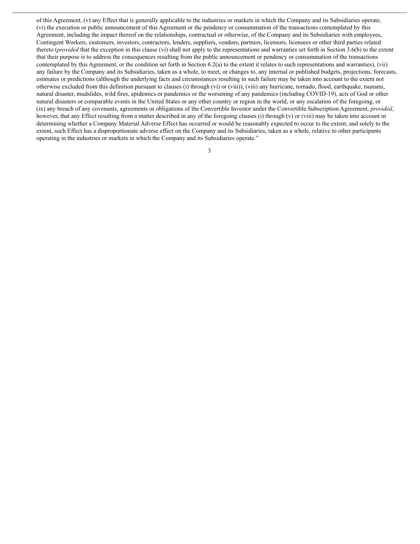of this Agreement, (v) any Effect that is generally applicable to the industries or markets in which the Company and its Subsidiaries operate, (vi) the execution or public announcement of this Agreement or the pendency or consummation of the transactions contemplated by this Agreement, including the impact thereof on the relationships, contractual or otherwise, of the Company and its Subsidiaries with employees, Contingent Workers, customers, investors, contractors, lenders, suppliers, vendors, partners, licensors, licensees or other third parties related thereto (*provided* that the exception in this clause (vi) shall not apply to the representations and warranties set forth in Section 3.6(b) to the extent that their purpose is to address the consequences resulting from the public announcement or pendency or consummation of the transactions contemplated by this Agreement, or the condition set forth in Section 6.2(a) to the extent it relates to such representations and warranties), (vii) any failure by the Company and its Subsidiaries, taken as a whole, to meet, or changes to, any internal or published budgets, projections, forecasts, estimates or predictions (although the underlying facts and circumstances resulting in such failure may be taken into account to the extent not otherwise excluded from this definition pursuant to clauses (i) through (vi) or (viii)), (viii) any hurricane, tornado, flood, earthquake, tsunami, natural disaster, mudslides, wild fires, epidemics or pandemics or the worsening of any pandemics (including COVID-19), acts of God or other natural disasters or comparable events in the United States or any other country or region in the world, or any escalation of the foregoing, or (ix) any breach of any covenants, agreements or obligations of the Convertible Investor under the Convertible Subscription Agreement; *provided*, however, that any Effect resulting from a matter described in any of the foregoing clauses (i) through (v) or (viii) may be taken into account in determining whether a Company Material Adverse Effect has occurred or would be reasonably expected to occur to the extent, and solely to the extent, such Effect has a disproportionate adverse effect on the Company and its Subsidiaries, taken as a whole, relative to other participants operating in the industries or markets in which the Company and its Subsidiaries operate."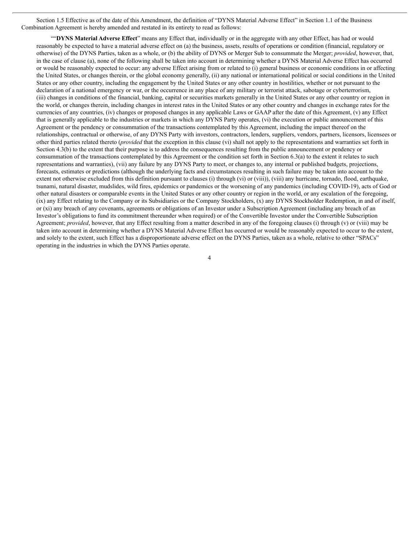Section 1.5 Effective as of the date of this Amendment, the definition of "DYNS Material Adverse Effect" in Section 1.1 of the Business Combination Agreement is hereby amended and restated in its entirety to read as follows:

""**DYNS Material Adverse Effect**" means any Effect that, individually or in the aggregate with any other Effect, has had or would reasonably be expected to have a material adverse effect on (a) the business, assets, results of operations or condition (financial, regulatory or otherwise) of the DYNS Parties, taken as a whole, or (b) the ability of DYNS or Merger Sub to consummate the Merger; *provided*, however, that, in the case of clause (a), none of the following shall be taken into account in determining whether a DYNS Material Adverse Effect has occurred or would be reasonably expected to occur: any adverse Effect arising from or related to (i) general business or economic conditions in or affecting the United States, or changes therein, or the global economy generally, (ii) any national or international political or social conditions in the United States or any other country, including the engagement by the United States or any other country in hostilities, whether or not pursuant to the declaration of a national emergency or war, or the occurrence in any place of any military or terrorist attack, sabotage or cyberterrorism, (iii) changes in conditions of the financial, banking, capital or securities markets generally in the United States or any other country or region in the world, or changes therein, including changes in interest rates in the United States or any other country and changes in exchange rates for the currencies of any countries, (iv) changes or proposed changes in any applicable Laws or GAAP after the date of this Agreement, (v) any Effect that is generally applicable to the industries or markets in which any DYNS Party operates, (vi) the execution or public announcement of this Agreement or the pendency or consummation of the transactions contemplated by this Agreement, including the impact thereof on the relationships, contractual or otherwise, of any DYNS Party with investors, contractors, lenders, suppliers, vendors, partners, licensors, licensees or other third parties related thereto (*provided* that the exception in this clause (vi) shall not apply to the representations and warranties set forth in Section 4.3(b) to the extent that their purpose is to address the consequences resulting from the public announcement or pendency or consummation of the transactions contemplated by this Agreement or the condition set forth in Section 6.3(a) to the extent it relates to such representations and warranties), (vii) any failure by any DYNS Party to meet, or changes to, any internal or published budgets, projections, forecasts, estimates or predictions (although the underlying facts and circumstances resulting in such failure may be taken into account to the extent not otherwise excluded from this definition pursuant to clauses (i) through (vi) or (viii)), (viii) any hurricane, tornado, flood, earthquake, tsunami, natural disaster, mudslides, wild fires, epidemics or pandemics or the worsening of any pandemics (including COVID-19), acts of God or other natural disasters or comparable events in the United States or any other country or region in the world, or any escalation of the foregoing, (ix) any Effect relating to the Company or its Subsidiaries or the Company Stockholders, (x) any DYNS Stockholder Redemption, in and of itself, or (xi) any breach of any covenants, agreements or obligations of an Investor under a Subscription Agreement (including any breach of an Investor's obligations to fund its commitment thereunder when required) or of the Convertible Investor under the Convertible Subscription Agreement; *provided*, however, that any Effect resulting from a matter described in any of the foregoing clauses (i) through (v) or (viii) may be taken into account in determining whether a DYNS Material Adverse Effect has occurred or would be reasonably expected to occur to the extent, and solely to the extent, such Effect has a disproportionate adverse effect on the DYNS Parties, taken as a whole, relative to other "SPACs" operating in the industries in which the DYNS Parties operate.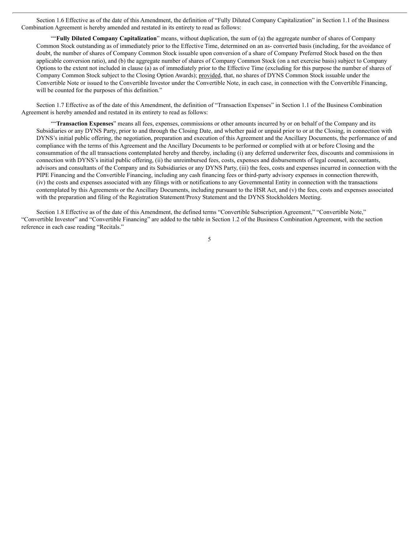Section 1.6 Effective as of the date of this Amendment, the definition of "Fully Diluted Company Capitalization" in Section 1.1 of the Business Combination Agreement is hereby amended and restated in its entirety to read as follows:

""**Fully Diluted Company Capitalization**" means, without duplication, the sum of (a) the aggregate number of shares of Company Common Stock outstanding as of immediately prior to the Effective Time, determined on an as- converted basis (including, for the avoidance of doubt, the number of shares of Company Common Stock issuable upon conversion of a share of Company Preferred Stock based on the then applicable conversion ratio), and (b) the aggregate number of shares of Company Common Stock (on a net exercise basis) subject to Company Options to the extent not included in clause (a) as of immediately prior to the Effective Time (excluding for this purpose the number of shares of Company Common Stock subject to the Closing Option Awards); provided, that, no shares of DYNS Common Stock issuable under the Convertible Note or issued to the Convertible Investor under the Convertible Note, in each case, in connection with the Convertible Financing, will be counted for the purposes of this definition."

Section 1.7 Effective as of the date of this Amendment, the definition of "Transaction Expenses" in Section 1.1 of the Business Combination Agreement is hereby amended and restated in its entirety to read as follows:

""**Transaction Expenses**" means all fees, expenses, commissions or other amounts incurred by or on behalf of the Company and its Subsidiaries or any DYNS Party, prior to and through the Closing Date, and whether paid or unpaid prior to or at the Closing, in connection with DYNS's initial public offering, the negotiation, preparation and execution of this Agreement and the Ancillary Documents, the performance of and compliance with the terms of this Agreement and the Ancillary Documents to be performed or complied with at or before Closing and the consummation of the all transactions contemplated hereby and thereby, including (i) any deferred underwriter fees, discounts and commissions in connection with DYNS's initial public offering, (ii) the unreimbursed fees, costs, expenses and disbursements of legal counsel, accountants, advisors and consultants of the Company and its Subsidiaries or any DYNS Party, (iii) the fees, costs and expenses incurred in connection with the PIPE Financing and the Convertible Financing, including any cash financing fees or third-party advisory expenses in connection therewith, (iv) the costs and expenses associated with any filings with or notifications to any Governmental Entity in connection with the transactions contemplated by this Agreements or the Ancillary Documents, including pursuant to the HSR Act, and (v) the fees, costs and expenses associated with the preparation and filing of the Registration Statement/Proxy Statement and the DYNS Stockholders Meeting.

Section 1.8 Effective as of the date of this Amendment, the defined terms "Convertible Subscription Agreement," "Convertible Note," "Convertible Investor" and "Convertible Financing" are added to the table in Section 1.2 of the Business Combination Agreement, with the section reference in each case reading "Recitals."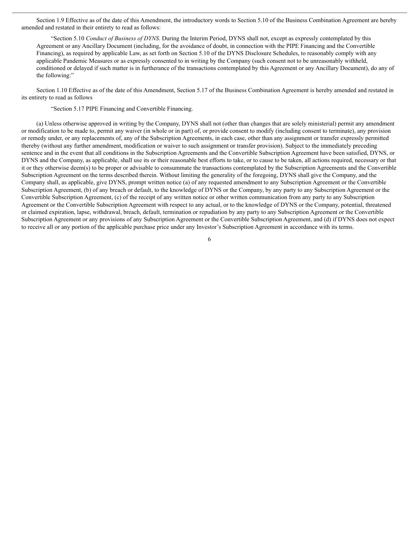Section 1.9 Effective as of the date of this Amendment, the introductory words to Section 5.10 of the Business Combination Agreement are hereby amended and restated in their entirety to read as follows:

"Section 5.10 *Conduct of Business of DYNS*. During the Interim Period, DYNS shall not, except as expressly contemplated by this Agreement or any Ancillary Document (including, for the avoidance of doubt, in connection with the PIPE Financing and the Convertible Financing), as required by applicable Law, as set forth on Section 5.10 of the DYNS Disclosure Schedules, to reasonably comply with any applicable Pandemic Measures or as expressly consented to in writing by the Company (such consent not to be unreasonably withheld, conditioned or delayed if such matter is in furtherance of the transactions contemplated by this Agreement or any Ancillary Document), do any of the following:"

Section 1.10 Effective as of the date of this Amendment, Section 5.17 of the Business Combination Agreement is hereby amended and restated in its entirety to read as follows

"Section 5.17 PIPE Financing and Convertible Financing.

(a) Unless otherwise approved in writing by the Company, DYNS shall not (other than changes that are solely ministerial) permit any amendment or modification to be made to, permit any waiver (in whole or in part) of, or provide consent to modify (including consent to terminate), any provision or remedy under, or any replacements of, any of the Subscription Agreements, in each case, other than any assignment or transfer expressly permitted thereby (without any further amendment, modification or waiver to such assignment or transfer provision). Subject to the immediately preceding sentence and in the event that all conditions in the Subscription Agreements and the Convertible Subscription Agreement have been satisfied, DYNS, or DYNS and the Company, as applicable, shall use its or their reasonable best efforts to take, or to cause to be taken, all actions required, necessary or that it or they otherwise deem(s) to be proper or advisable to consummate the transactions contemplated by the Subscription Agreements and the Convertible Subscription Agreement on the terms described therein. Without limiting the generality of the foregoing, DYNS shall give the Company, and the Company shall, as applicable, give DYNS, prompt written notice (a) of any requested amendment to any Subscription Agreement or the Convertible Subscription Agreement, (b) of any breach or default, to the knowledge of DYNS or the Company, by any party to any Subscription Agreement or the Convertible Subscription Agreement, (c) of the receipt of any written notice or other written communication from any party to any Subscription Agreement or the Convertible Subscription Agreement with respect to any actual, or to the knowledge of DYNS or the Company, potential, threatened or claimed expiration, lapse, withdrawal, breach, default, termination or repudiation by any party to any Subscription Agreement or the Convertible Subscription Agreement or any provisions of any Subscription Agreement or the Convertible Subscription Agreement, and (d) if DYNS does not expect to receive all or any portion of the applicable purchase price under any Investor's Subscription Agreement in accordance with its terms.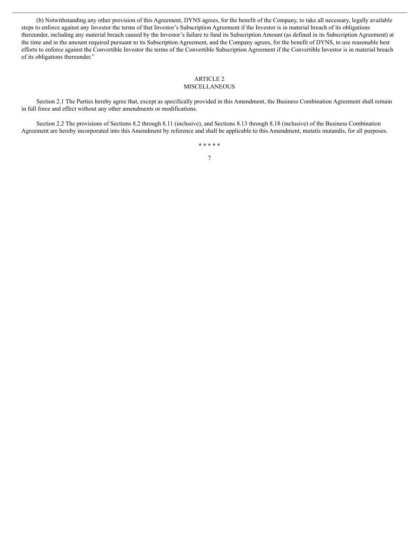(b) Notwithstanding any other provision of this Agreement, DYNS agrees, for the benefit of the Company, to take all necessary, legally available steps to enforce against any Investor the terms of that Investor's Subscription Agreement if the Investor is in material breach of its obligations thereunder, including any material breach caused by the Investor's failure to fund its Subscription Amount (as defined in its Subscription Agreement) at the time and in the amount required pursuant to its Subscription Agreement, and the Company agrees, for the benefit of DYNS, to use reasonable best efforts to enforce against the Convertible Investor the terms of the Convertible Subscription Agreement if the Convertible Investor is in material breach of its obligations thereunder."

#### ARTICLE 2 MISCELLANEOUS

Section 2.1 The Parties hereby agree that, except as specifically provided in this Amendment, the Business Combination Agreement shall remain in full force and effect without any other amendments or modifications.

Section 2.2 The provisions of Sections 8.2 through 8.11 (inclusive), and Sections 8.13 through 8.18 (inclusive) of the Business Combination Agreement are hereby incorporated into this Amendment by reference and shall be applicable to this Amendment, mutatis mutandis, for all purposes.

\* \* \* \* \*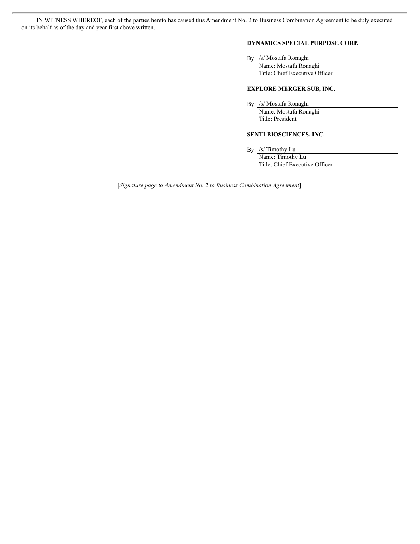IN WITNESS WHEREOF, each of the parties hereto has caused this Amendment No. 2 to Business Combination Agreement to be duly executed on its behalf as of the day and year first above written.

#### **DYNAMICS SPECIAL PURPOSE CORP.**

By: /s/ Mostafa Ronaghi

Name: Mostafa Ronaghi Title: Chief Executive Officer

#### **EXPLORE MERGER SUB, INC.**

By: /s/ Mostafa Ronaghi

Name: Mostafa Ronaghi Title: President

#### **SENTI BIOSCIENCES, INC.**

By: /s/ Timothy Lu

Name: Timothy Lu Title: Chief Executive Officer

[*Signature page to Amendment No. 2 to Business Combination Agreement*]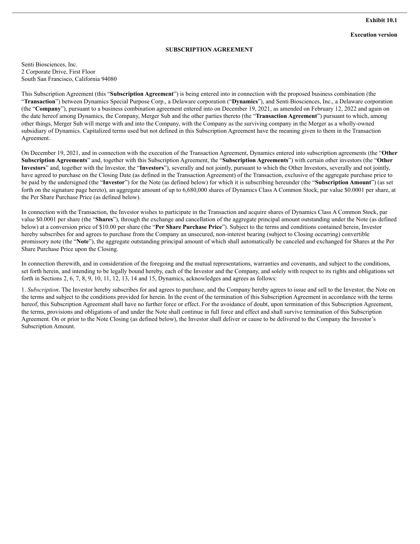#### **SUBSCRIPTION AGREEMENT**

Senti Biosciences, Inc. 2 Corporate Drive, First Floor South San Francisco, California 94080

This Subscription Agreement (this "**Subscription Agreement**") is being entered into in connection with the proposed business combination (the "**Transaction**") between Dynamics Special Purpose Corp., a Delaware corporation ("**Dynamics**"), and Senti Biosciences, Inc., a Delaware corporation (the "**Company**"), pursuant to a business combination agreement entered into on December 19, 2021, as amended on February 12, 2022 and again on the date hereof among Dynamics, the Company, Merger Sub and the other parties thereto (the "**Transaction Agreement**") pursuant to which, among other things, Merger Sub will merge with and into the Company, with the Company as the surviving company in the Merger as a wholly-owned subsidiary of Dynamics. Capitalized terms used but not defined in this Subscription Agreement have the meaning given to them in the Transaction Agreement.

On December 19, 2021, and in connection with the execution of the Transaction Agreement, Dynamics entered into subscription agreements (the "**Other Subscription Agreements**" and, together with this Subscription Agreement, the "**Subscription Agreements**") with certain other investors (the "**Other Investors**" and, together with the Investor, the "**Investors**"), severally and not jointly, pursuant to which the Other Investors, severally and not jointly, have agreed to purchase on the Closing Date (as defined in the Transaction Agreement) of the Transaction, exclusive of the aggregate purchase price to be paid by the undersigned (the "**Investor**") for the Note (as defined below) for which it is subscribing hereunder (the "**Subscription Amount**") (as set forth on the signature page hereto), an aggregate amount of up to 6,680,000 shares of Dynamics Class A Common Stock, par value \$0.0001 per share, at the Per Share Purchase Price (as defined below).

In connection with the Transaction, the Investor wishes to participate in the Transaction and acquire shares of Dynamics Class A Common Stock, par value \$0.0001 per share (the "**Shares**"), through the exchange and cancellation of the aggregate principal amount outstanding under the Note (as defined below) at a conversion price of \$10.00 per share (the "**Per Share Purchase Price**"). Subject to the terms and conditions contained herein, Investor hereby subscribes for and agrees to purchase from the Company an unsecured, non-interest bearing (subject to Closing occurring) convertible promissory note (the "**Note**"), the aggregate outstanding principal amount of which shall automatically be canceled and exchanged for Shares at the Per Share Purchase Price upon the Closing.

In connection therewith, and in consideration of the foregoing and the mutual representations, warranties and covenants, and subject to the conditions, set forth herein, and intending to be legally bound hereby, each of the Investor and the Company, and solely with respect to its rights and obligations set forth in Sections 2, 6, 7, 8, 9, 10, 11, 12, 13, 14 and 15, Dynamics, acknowledges and agrees as follows:

1. *Subscription*. The Investor hereby subscribes for and agrees to purchase, and the Company hereby agrees to issue and sell to the Investor, the Note on the terms and subject to the conditions provided for herein. In the event of the termination of this Subscription Agreement in accordance with the terms hereof, this Subscription Agreement shall have no further force or effect. For the avoidance of doubt, upon termination of this Subscription Agreement, the terms, provisions and obligations of and under the Note shall continue in full force and effect and shall survive termination of this Subscription Agreement. On or prior to the Note Closing (as defined below), the Investor shall deliver or cause to be delivered to the Company the Investor's Subscription Amount.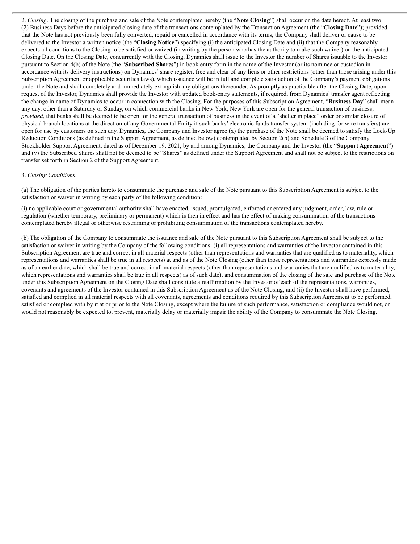2. *Closing*. The closing of the purchase and sale of the Note contemplated hereby (the "**Note Closing**") shall occur on the date hereof. At least two (2) Business Days before the anticipated closing date of the transactions contemplated by the Transaction Agreement (the "**Closing Date**"); provided, that the Note has not previously been fully converted, repaid or cancelled in accordance with its terms, the Company shall deliver or cause to be delivered to the Investor a written notice (the "**Closing Notice**") specifying (i) the anticipated Closing Date and (ii) that the Company reasonably expects all conditions to the Closing to be satisfied or waived (in writing by the person who has the authority to make such waiver) on the anticipated Closing Date. On the Closing Date, concurrently with the Closing, Dynamics shall issue to the Investor the number of Shares issuable to the Investor pursuant to Section 4(b) of the Note (the "**Subscribed Shares**") in book entry form in the name of the Investor (or its nominee or custodian in accordance with its delivery instructions) on Dynamics'share register, free and clear of any liens or other restrictions (other than those arising under this Subscription Agreement or applicable securities laws), which issuance will be in full and complete satisfaction of the Company's payment obligations under the Note and shall completely and immediately extinguish any obligations thereunder. As promptly as practicable after the Closing Date, upon request of the Investor, Dynamics shall provide the Investor with updated book-entry statements, if required, from Dynamics' transfer agent reflecting the change in name of Dynamics to occur in connection with the Closing. For the purposes of this Subscription Agreement, "**Business Day**" shall mean any day, other than a Saturday or Sunday, on which commercial banks in New York, New York are open for the general transaction of business; *provided*, that banks shall be deemed to be open for the general transaction of business in the event of a "shelter in place" order or similar closure of physical branch locations at the direction of any Governmental Entity if such banks' electronic funds transfer system (including for wire transfers) are open for use by customers on such day. Dynamics, the Company and Investor agree  $(x)$  the purchase of the Note shall be deemed to satisfy the Lock-Up Reduction Conditions (as defined in the Support Agreement, as defined below) contemplated by Section 2(b) and Schedule 3 of the Company Stockholder Support Agreement, dated as of December 19, 2021, by and among Dynamics, the Company and the Investor (the "**Support Agreement**") and (y) the Subscribed Shares shall not be deemed to be "Shares" as defined under the Support Agreement and shall not be subject to the restrictions on transfer set forth in Section 2 of the Support Agreement.

#### 3. *Closing Conditions*.

(a) The obligation of the parties hereto to consummate the purchase and sale of the Note pursuant to this Subscription Agreement is subject to the satisfaction or waiver in writing by each party of the following condition:

(i) no applicable court or governmental authority shall have enacted, issued, promulgated, enforced or entered any judgment, order, law, rule or regulation (whether temporary, preliminary or permanent) which is then in effect and has the effect of making consummation of the transactions contemplated hereby illegal or otherwise restraining or prohibiting consummation of the transactions contemplated hereby.

(b) The obligation of the Company to consummate the issuance and sale of the Note pursuant to this Subscription Agreement shall be subject to the satisfaction or waiver in writing by the Company of the following conditions: (i) all representations and warranties of the Investor contained in this Subscription Agreement are true and correct in all material respects (other than representations and warranties that are qualified as to materiality, which representations and warranties shall be true in all respects) at and as of the Note Closing (other than those representations and warranties expressly made as of an earlier date, which shall be true and correct in all material respects (other than representations and warranties that are qualified as to materiality, which representations and warranties shall be true in all respects) as of such date), and consummation of the closing of the sale and purchase of the Note under this Subscription Agreement on the Closing Date shall constitute a reaffirmation by the Investor of each of the representations, warranties, covenants and agreements of the Investor contained in this Subscription Agreement as of the Note Closing; and (ii) the Investor shall have performed, satisfied and complied in all material respects with all covenants, agreements and conditions required by this Subscription Agreement to be performed, satisfied or complied with by it at or prior to the Note Closing, except where the failure of such performance, satisfaction or compliance would not, or would not reasonably be expected to, prevent, materially delay or materially impair the ability of the Company to consummate the Note Closing.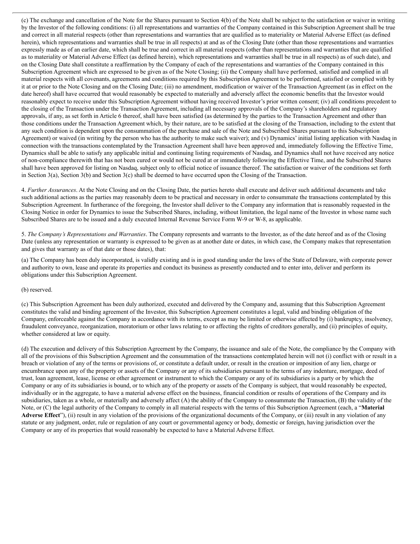(c) The exchange and cancellation of the Note for the Shares pursuant to Section 4(b) of the Note shall be subject to the satisfaction or waiver in writing by the Investor of the following conditions: (i) all representations and warranties of the Company contained in this Subscription Agreement shall be true and correct in all material respects (other than representations and warranties that are qualified as to materiality or Material Adverse Effect (as defined herein), which representations and warranties shall be true in all respects) at and as of the Closing Date (other than those representations and warranties expressly made as of an earlier date, which shall be true and correct in all material respects (other than representations and warranties that are qualified as to materiality or Material Adverse Effect (as defined herein), which representations and warranties shall be true in all respects) as of such date), and on the Closing Date shall constitute a reaffirmation by the Company of each of the representations and warranties of the Company contained in this Subscription Agreement which are expressed to be given as of the Note Closing; (ii) the Company shall have performed, satisfied and complied in all material respects with all covenants, agreements and conditions required by this Subscription Agreement to be performed, satisfied or complied with by it at or prior to the Note Closing and on the Closing Date; (iii) no amendment, modification or waiver of the Transaction Agreement (as in effect on the date hereof) shall have occurred that would reasonably be expected to materially and adversely affect the economic benefits that the Investor would reasonably expect to receive under this Subscription Agreement without having received Investor's prior written consent; (iv) all conditions precedent to the closing of the Transaction under the Transaction Agreement, including all necessary approvals of the Company's shareholders and regulatory approvals, if any, as set forth in Article 6 thereof, shall have been satisfied (as determined by the parties to the Transaction Agreement and other than those conditions under the Transaction Agreement which, by their nature, are to be satisfied at the closing of the Transaction, including to the extent that any such condition is dependent upon the consummation of the purchase and sale of the Note and Subscribed Shares pursuant to this Subscription Agreement) or waived (in writing by the person who has the authority to make such waiver); and (v) Dynamics' initial listing application with Nasdaq in connection with the transactions contemplated by the Transaction Agreement shall have been approved and, immediately following the Effective Time, Dynamics shall be able to satisfy any applicable initial and continuing listing requirements of Nasdaq, and Dynamics shall not have received any notice of non-compliance therewith that has not been cured or would not be cured at or immediately following the Effective Time, and the Subscribed Shares shall have been approved for listing on Nasdaq, subject only to official notice of issuance thereof. The satisfaction or waiver of the conditions set forth in Section 3(a), Section 3(b) and Section 3(c) shall be deemed to have occurred upon the Closing of the Transaction.

4. *Further Assurances*. At the Note Closing and on the Closing Date, the parties hereto shall execute and deliver such additional documents and take such additional actions as the parties may reasonably deem to be practical and necessary in order to consummate the transactions contemplated by this Subscription Agreement. In furtherance of the foregoing, the Investor shall deliver to the Company any information that is reasonably requested in the Closing Notice in order for Dynamics to issue the Subscribed Shares, including, without limitation, the legal name of the Investor in whose name such Subscribed Shares are to be issued and a duly executed Internal Revenue Service Form W-9 or W-8, as applicable.

5. *The Company's Representations and Warranties*. The Company represents and warrants to the Investor, as of the date hereof and as of the Closing Date (unless any representation or warranty is expressed to be given as at another date or dates, in which case, the Company makes that representation and gives that warranty as of that date or those dates), that:

(a) The Company has been duly incorporated, is validly existing and is in good standing under the laws of the State of Delaware, with corporate power and authority to own, lease and operate its properties and conduct its business as presently conducted and to enter into, deliver and perform its obligations under this Subscription Agreement.

#### (b) reserved.

(c) This Subscription Agreement has been duly authorized, executed and delivered by the Company and, assuming that this Subscription Agreement constitutes the valid and binding agreement of the Investor, this Subscription Agreement constitutes a legal, valid and binding obligation of the Company, enforceable against the Company in accordance with its terms, except as may be limited or otherwise affected by (i) bankruptcy, insolvency, fraudulent conveyance, reorganization, moratorium or other laws relating to or affecting the rights of creditors generally, and (ii) principles of equity, whether considered at law or equity.

(d) The execution and delivery of this Subscription Agreement by the Company, the issuance and sale of the Note, the compliance by the Company with all of the provisions of this Subscription Agreement and the consummation of the transactions contemplated herein will not (i) conflict with or result in a breach or violation of any of the terms or provisions of, or constitute a default under, or result in the creation or imposition of any lien, charge or encumbrance upon any of the property or assets of the Company or any of its subsidiaries pursuant to the terms of any indenture, mortgage, deed of trust, loan agreement, lease, license or other agreement or instrument to which the Company or any of its subsidiaries is a party or by which the Company or any of its subsidiaries is bound, or to which any of the property or assets of the Company is subject, that would reasonably be expected, individually or in the aggregate, to have a material adverse effect on the business, financial condition or results of operations of the Company and its subsidiaries, taken as a whole, or materially and adversely affect (A) the ability of the Company to consummate the Transaction, (B) the validity of the Note, or (C) the legal authority of the Company to comply in all material respects with the terms of this Subscription Agreement (each, a "**Material Adverse Effect**"), (ii) result in any violation of the provisions of the organizational documents of the Company, or (iii) result in any violation of any statute or any judgment, order, rule or regulation of any court or governmental agency or body, domestic or foreign, having jurisdiction over the Company or any of its properties that would reasonably be expected to have a Material Adverse Effect.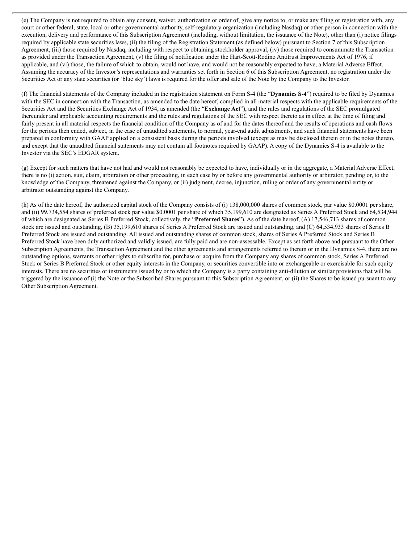(e) The Company is not required to obtain any consent, waiver, authorization or order of, give any notice to, or make any filing or registration with, any court or other federal, state, local or other governmental authority, self-regulatory organization (including Nasdaq) or other person in connection with the execution, delivery and performance of this Subscription Agreement (including, without limitation, the issuance of the Note), other than (i) notice filings required by applicable state securities laws, (ii) the filing of the Registration Statement (as defined below) pursuant to Section 7 of this Subscription Agreement, (iii) those required by Nasdaq, including with respect to obtaining stockholder approval, (iv) those required to consummate the Transaction as provided under the Transaction Agreement, (v) the filing of notification under the Hart-Scott-Rodino Antitrust Improvements Act of 1976, if applicable, and (vi) those, the failure of which to obtain, would not have, and would not be reasonably expected to have, a Material Adverse Effect. Assuming the accuracy of the Investor's representations and warranties set forth in Section 6 of this Subscription Agreement, no registration under the Securities Act or any state securities (or 'blue sky') laws is required for the offer and sale of the Note by the Company to the Investor.

(f) The financial statements of the Company included in the registration statement on Form S-4 (the "**Dynamics S-4**") required to be filed by Dynamics with the SEC in connection with the Transaction, as amended to the date hereof, complied in all material respects with the applicable requirements of the Securities Act and the Securities Exchange Act of 1934, as amended (the "**Exchange Act**"), and the rules and regulations of the SEC promulgated thereunder and applicable accounting requirements and the rules and regulations of the SEC with respect thereto as in effect at the time of filing and fairly present in all material respects the financial condition of the Company as of and for the dates thereof and the results of operations and cash flows for the periods then ended, subject, in the case of unaudited statements, to normal, year-end audit adjustments, and such financial statements have been prepared in conformity with GAAP applied on a consistent basis during the periods involved (except as may be disclosed therein or in the notes thereto, and except that the unaudited financial statements may not contain all footnotes required by GAAP). A copy of the Dynamics S-4 is available to the Investor via the SEC's EDGAR system.

(g) Except for such matters that have not had and would not reasonably be expected to have, individually or in the aggregate, a Material Adverse Effect, there is no (i) action, suit, claim, arbitration or other proceeding, in each case by or before any governmental authority or arbitrator, pending or, to the knowledge of the Company, threatened against the Company, or (ii) judgment, decree, injunction, ruling or order of any governmental entity or arbitrator outstanding against the Company.

(h) As of the date hereof, the authorized capital stock of the Company consists of (i) 138,000,000 shares of common stock, par value \$0.0001 per share, and (ii) 99,734,554 shares of preferred stock par value \$0.0001 per share of which 35,199,610 are designated as Series A Preferred Stock and 64,534,944 of which are designated as Series B Preferred Stock, collectively, the "**Preferred Shares**"). As of the date hereof, (A) 17,546,713 shares of common stock are issued and outstanding, (B) 35,199,610 shares of Series A Preferred Stock are issued and outstanding, and (C) 64,534,933 shares of Series B Preferred Stock are issued and outstanding. All issued and outstanding shares of common stock, shares of Series A Preferred Stock and Series B Preferred Stock have been duly authorized and validly issued, are fully paid and are non-assessable. Except as set forth above and pursuant to the Other Subscription Agreements, the Transaction Agreement and the other agreements and arrangements referred to therein or in the Dynamics S-4, there are no outstanding options, warrants or other rights to subscribe for, purchase or acquire from the Company any shares of common stock, Series A Preferred Stock or Series B Preferred Stock or other equity interests in the Company, or securities convertible into or exchangeable or exercisable for such equity interests. There are no securities or instruments issued by or to which the Company is a party containing anti-dilution or similar provisions that will be triggered by the issuance of (i) the Note or the Subscribed Shares pursuant to this Subscription Agreement, or (ii) the Shares to be issued pursuant to any Other Subscription Agreement.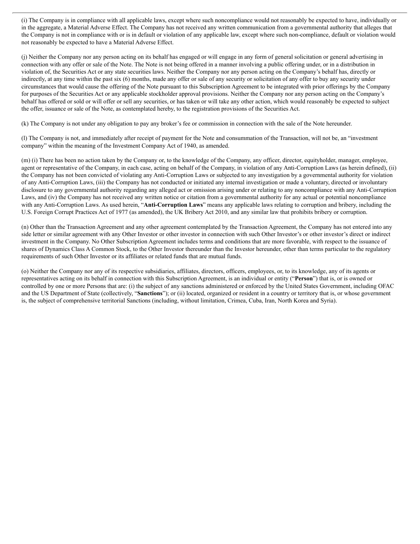(i) The Company is in compliance with all applicable laws, except where such noncompliance would not reasonably be expected to have, individually or in the aggregate, a Material Adverse Effect. The Company has not received any written communication from a governmental authority that alleges that the Company is not in compliance with or is in default or violation of any applicable law, except where such non-compliance, default or violation would not reasonably be expected to have a Material Adverse Effect.

(j) Neither the Company nor any person acting on its behalf has engaged or will engage in any form of general solicitation or general advertising in connection with any offer or sale of the Note. The Note is not being offered in a manner involving a public offering under, or in a distribution in violation of, the Securities Act or any state securities laws. Neither the Company nor any person acting on the Company's behalf has, directly or indirectly, at any time within the past six (6) months, made any offer or sale of any security or solicitation of any offer to buy any security under circumstances that would cause the offering of the Note pursuant to this Subscription Agreement to be integrated with prior offerings by the Company for purposes of the Securities Act or any applicable stockholder approval provisions. Neither the Company nor any person acting on the Company's behalf has offered or sold or will offer or sell any securities, or has taken or will take any other action, which would reasonably be expected to subject the offer, issuance or sale of the Note, as contemplated hereby, to the registration provisions of the Securities Act.

(k) The Company is not under any obligation to pay any broker's fee or commission in connection with the sale of the Note hereunder.

(l) The Company is not, and immediately after receipt of payment for the Note and consummation of the Transaction, will not be, an "investment company" within the meaning of the Investment Company Act of 1940, as amended.

(m) (i) There has been no action taken by the Company or, to the knowledge of the Company, any officer, director, equityholder, manager, employee, agent or representative of the Company, in each case, acting on behalf of the Company, in violation of any Anti-Corruption Laws (as herein defined), (ii) the Company has not been convicted of violating any Anti-Corruption Laws or subjected to any investigation by a governmental authority for violation of any Anti-Corruption Laws, (iii) the Company has not conducted or initiated any internal investigation or made a voluntary, directed or involuntary disclosure to any governmental authority regarding any alleged act or omission arising under or relating to any noncompliance with any Anti-Corruption Laws, and (iv) the Company has not received any written notice or citation from a governmental authority for any actual or potential noncompliance with any Anti-Corruption Laws. As used herein, "**Anti-Corruption Laws**" means any applicable laws relating to corruption and bribery, including the U.S. Foreign Corrupt Practices Act of 1977 (as amended), the UK Bribery Act 2010, and any similar law that prohibits bribery or corruption.

(n) Other than the Transaction Agreement and any other agreement contemplated by the Transaction Agreement, the Company has not entered into any side letter or similar agreement with any Other Investor or other investor in connection with such Other Investor's or other investor's direct or indirect investment in the Company. No Other Subscription Agreement includes terms and conditions that are more favorable, with respect to the issuance of shares of Dynamics Class A Common Stock, to the Other Investor thereunder than the Investor hereunder, other than terms particular to the regulatory requirements of such Other Investor or its affiliates or related funds that are mutual funds.

(o) Neither the Company nor any of its respective subsidiaries, affiliates, directors, officers, employees, or, to its knowledge, any of its agents or representatives acting on its behalf in connection with this Subscription Agreement, is an individual or entity ("**Person**") that is, or is owned or controlled by one or more Persons that are: (i) the subject of any sanctions administered or enforced by the United States Government, including OFAC and the US Department of State (collectively, "**Sanctions**"); or (ii) located, organized or resident in a country or territory that is, or whose government is, the subject of comprehensive territorial Sanctions (including, without limitation, Crimea, Cuba, Iran, North Korea and Syria).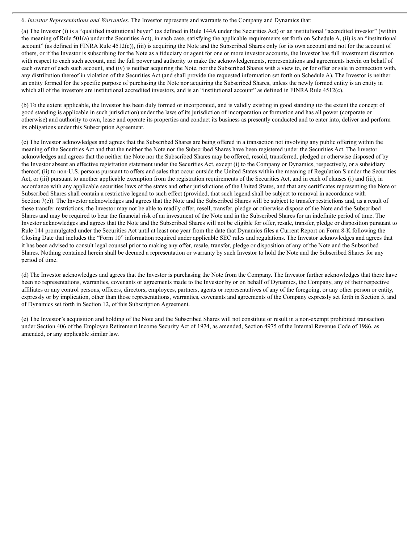6. *Investor Representations and Warranties*. The Investor represents and warrants to the Company and Dynamics that:

(a) The Investor (i) is a "qualified institutional buyer" (as defined in Rule 144A under the Securities Act) or an institutional "accredited investor" (within the meaning of Rule 501(a) under the Securities Act), in each case, satisfying the applicable requirements set forth on Schedule A, (ii) is an "institutional account" (as defined in FINRA Rule 4512(c)), (iii) is acquiring the Note and the Subscribed Shares only for its own account and not for the account of others, or if the Investor is subscribing for the Note as a fiduciary or agent for one or more investor accounts, the Investor has full investment discretion with respect to each such account, and the full power and authority to make the acknowledgements, representations and agreements herein on behalf of each owner of each such account, and (iv) is neither acquiring the Note, nor the Subscribed Shares with a view to, or for offer or sale in connection with, any distribution thereof in violation of the Securities Act (and shall provide the requested information set forth on Schedule A). The Investor is neither an entity formed for the specific purpose of purchasing the Note nor acquiring the Subscribed Shares, unless the newly formed entity is an entity in which all of the investors are institutional accredited investors, and is an "institutional account" as defined in FINRA Rule 4512(c).

(b) To the extent applicable, the Investor has been duly formed or incorporated, and is validly existing in good standing (to the extent the concept of good standing is applicable in such jurisdiction) under the laws of its jurisdiction of incorporation or formation and has all power (corporate or otherwise) and authority to own, lease and operate its properties and conduct its business as presently conducted and to enter into, deliver and perform its obligations under this Subscription Agreement.

(c) The Investor acknowledges and agrees that the Subscribed Shares are being offered in a transaction not involving any public offering within the meaning of the Securities Act and that the neither the Note nor the Subscribed Shares have been registered under the Securities Act. The Investor acknowledges and agrees that the neither the Note nor the Subscribed Shares may be offered, resold, transferred, pledged or otherwise disposed of by the Investor absent an effective registration statement under the Securities Act, except (i) to the Company or Dynamics, respectively, or a subsidiary thereof, (ii) to non-U.S. persons pursuant to offers and sales that occur outside the United States within the meaning of Regulation S under the Securities Act, or (iii) pursuant to another applicable exemption from the registration requirements of the Securities Act, and in each of clauses (i) and (iii), in accordance with any applicable securities laws of the states and other jurisdictions of the United States, and that any certificates representing the Note or Subscribed Shares shall contain a restrictive legend to such effect (provided, that such legend shall be subject to removal in accordance with Section 7(e)). The Investor acknowledges and agrees that the Note and the Subscribed Shares will be subject to transfer restrictions and, as a result of these transfer restrictions, the Investor may not be able to readily offer, resell, transfer, pledge or otherwise dispose of the Note and the Subscribed Shares and may be required to bear the financial risk of an investment of the Note and in the Subscribed Shares for an indefinite period of time. The Investor acknowledges and agrees that the Note and the Subscribed Shares will not be eligible for offer, resale, transfer, pledge or disposition pursuant to Rule 144 promulgated under the Securities Act until at least one year from the date that Dynamics files a Current Report on Form 8-K following the Closing Date that includes the "Form 10" information required under applicable SEC rules and regulations. The Investor acknowledges and agrees that it has been advised to consult legal counsel prior to making any offer, resale, transfer, pledge or disposition of any of the Note and the Subscribed Shares. Nothing contained herein shall be deemed a representation or warranty by such Investor to hold the Note and the Subscribed Shares for any period of time.

(d) The Investor acknowledges and agrees that the Investor is purchasing the Note from the Company. The Investor further acknowledges that there have been no representations, warranties, covenants or agreements made to the Investor by or on behalf of Dynamics, the Company, any of their respective affiliates or any control persons, officers, directors, employees, partners, agents or representatives of any of the foregoing, or any other person or entity, expressly or by implication, other than those representations, warranties, covenants and agreements of the Company expressly set forth in Section 5, and of Dynamics set forth in Section 12, of this Subscription Agreement.

(e) The Investor's acquisition and holding of the Note and the Subscribed Shares will not constitute or result in a non-exempt prohibited transaction under Section 406 of the Employee Retirement Income Security Act of 1974, as amended, Section 4975 of the Internal Revenue Code of 1986, as amended, or any applicable similar law.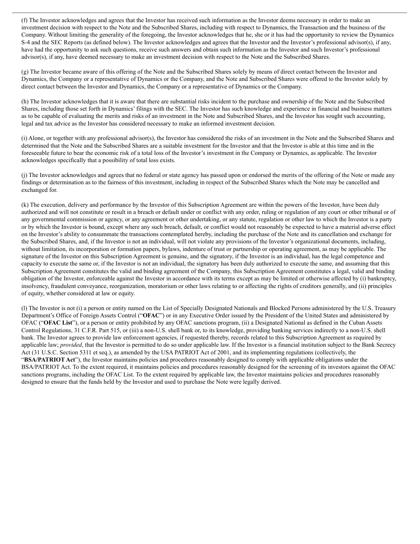(f) The Investor acknowledges and agrees that the Investor has received such information as the Investor deems necessary in order to make an investment decision with respect to the Note and the Subscribed Shares, including with respect to Dynamics, the Transaction and the business of the Company. Without limiting the generality of the foregoing, the Investor acknowledges that he, she or it has had the opportunity to review the Dynamics S-4 and the SEC Reports (as defined below). The Investor acknowledges and agrees that the Investor and the Investor's professional advisor(s), if any, have had the opportunity to ask such questions, receive such answers and obtain such information as the Investor and such Investor's professional advisor(s), if any, have deemed necessary to make an investment decision with respect to the Note and the Subscribed Shares.

(g) The Investor became aware of this offering of the Note and the Subscribed Shares solely by means of direct contact between the Investor and Dynamics, the Company or a representative of Dynamics or the Company, and the Note and Subscribed Shares were offered to the Investor solely by direct contact between the Investor and Dynamics, the Company or a representative of Dynamics or the Company.

(h) The Investor acknowledges that it is aware that there are substantial risks incident to the purchase and ownership of the Note and the Subscribed Shares, including those set forth in Dynamics' filings with the SEC. The Investor has such knowledge and experience in financial and business matters as to be capable of evaluating the merits and risks of an investment in the Note and Subscribed Shares, and the Investor has sought such accounting, legal and tax advice as the Investor has considered necessary to make an informed investment decision.

(i) Alone, or together with any professional advisor(s), the Investor has considered the risks of an investment in the Note and the Subscribed Shares and determined that the Note and the Subscribed Shares are a suitable investment for the Investor and that the Investor is able at this time and in the foreseeable future to bear the economic risk of a total loss of the Investor's investment in the Company or Dynamics, as applicable. The Investor acknowledges specifically that a possibility of total loss exists.

(j) The Investor acknowledges and agrees that no federal or state agency has passed upon or endorsed the merits of the offering of the Note or made any findings or determination as to the fairness of this investment, including in respect of the Subscribed Shares which the Note may be cancelled and exchanged for.

(k) The execution, delivery and performance by the Investor of this Subscription Agreement are within the powers of the Investor, have been duly authorized and will not constitute or result in a breach or default under or conflict with any order, ruling or regulation of any court or other tribunal or of any governmental commission or agency, or any agreement or other undertaking, or any statute, regulation or other law to which the Investor is a party or by which the Investor is bound, except where any such breach, default, or conflict would not reasonably be expected to have a material adverse effect on the Investor's ability to consummate the transactions contemplated hereby, including the purchase of the Note and its cancellation and exchange for the Subscribed Shares, and, if the Investor is not an individual, will not violate any provisions of the Investor's organizational documents, including, without limitation, its incorporation or formation papers, bylaws, indenture of trust or partnership or operating agreement, as may be applicable. The signature of the Investor on this Subscription Agreement is genuine, and the signatory, if the Investor is an individual, has the legal competence and capacity to execute the same or, if the Investor is not an individual, the signatory has been duly authorized to execute the same, and assuming that this Subscription Agreement constitutes the valid and binding agreement of the Company, this Subscription Agreement constitutes a legal, valid and binding obligation of the Investor, enforceable against the Investor in accordance with its terms except as may be limited or otherwise affected by (i) bankruptcy, insolvency, fraudulent conveyance, reorganization, moratorium or other laws relating to or affecting the rights of creditors generally, and (ii) principles of equity, whether considered at law or equity.

(l) The Investor is not (i) a person or entity named on the List of Specially Designated Nationals and Blocked Persons administered by the U.S. Treasury Department's Office of Foreign Assets Control ("**OFAC**") or in any Executive Order issued by the President of the United States and administered by OFAC ("**OFAC List**"), or a person or entity prohibited by any OFAC sanctions program, (ii) a Designated National as defined in the Cuban Assets Control Regulations, 31 C.F.R. Part 515, or (iii) a non-U.S. shell bank or, to its knowledge, providing banking services indirectly to a non-U.S. shell bank. The Investor agrees to provide law enforcement agencies, if requested thereby, records related to this Subscription Agreement as required by applicable law; *provided*, that the Investor is permitted to do so under applicable law. If the Investor is a financial institution subject to the Bank Secrecy Act (31 U.S.C. Section 5311 et seq.), as amended by the USA PATRIOT Act of 2001, and its implementing regulations (collectively, the "**BSA/PATRIOT Act**"), the Investor maintains policies and procedures reasonably designed to comply with applicable obligations under the BSA/PATRIOT Act. To the extent required, it maintains policies and procedures reasonably designed for the screening of its investors against the OFAC sanctions programs, including the OFAC List. To the extent required by applicable law, the Investor maintains policies and procedures reasonably designed to ensure that the funds held by the Investor and used to purchase the Note were legally derived.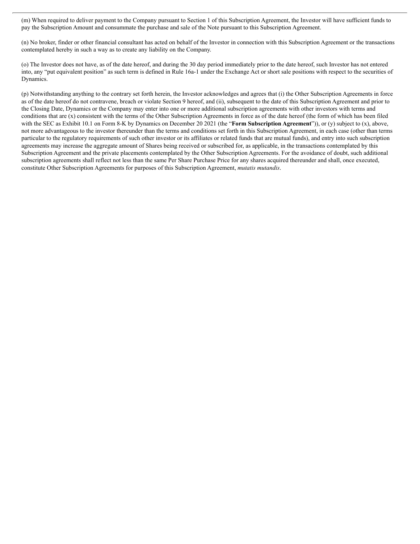(m) When required to deliver payment to the Company pursuant to Section 1 of this Subscription Agreement, the Investor will have sufficient funds to pay the Subscription Amount and consummate the purchase and sale of the Note pursuant to this Subscription Agreement.

(n) No broker, finder or other financial consultant has acted on behalf of the Investor in connection with this Subscription Agreement or the transactions contemplated hereby in such a way as to create any liability on the Company.

(o) The Investor does not have, as of the date hereof, and during the 30 day period immediately prior to the date hereof, such Investor has not entered into, any "put equivalent position" as such term is defined in Rule 16a-1 under the Exchange Act or short sale positions with respect to the securities of Dynamics.

(p) Notwithstanding anything to the contrary set forth herein, the Investor acknowledges and agrees that (i) the Other Subscription Agreements in force as of the date hereof do not contravene, breach or violate Section 9 hereof, and (ii), subsequent to the date of this Subscription Agreement and prior to the Closing Date, Dynamics or the Company may enter into one or more additional subscription agreements with other investors with terms and conditions that are (x) consistent with the terms of the Other Subscription Agreements in force as of the date hereof (the form of which has been filed with the SEC as Exhibit 10.1 on Form 8-K by Dynamics on December 20 2021 (the "**Form Subscription Agreement**")), or (y) subject to (x), above, not more advantageous to the investor thereunder than the terms and conditions set forth in this Subscription Agreement, in each case (other than terms particular to the regulatory requirements of such other investor or its affiliates or related funds that are mutual funds), and entry into such subscription agreements may increase the aggregate amount of Shares being received or subscribed for, as applicable, in the transactions contemplated by this Subscription Agreement and the private placements contemplated by the Other Subscription Agreements. For the avoidance of doubt, such additional subscription agreements shall reflect not less than the same Per Share Purchase Price for any shares acquired thereunder and shall, once executed, constitute Other Subscription Agreements for purposes of this Subscription Agreement, *mutatis mutandis*.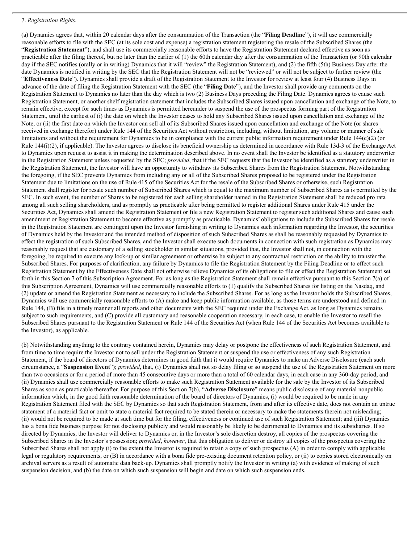#### 7. *Registration Rights.*

(a) Dynamics agrees that, within 20 calendar days after the consummation of the Transaction (the "**Filing Deadline**"), it will use commercially reasonable efforts to file with the SEC (at its sole cost and expense) a registration statement registering the resale of the Subscribed Shares (the "**Registration Statement**"), and shall use its commercially reasonable efforts to have the Registration Statement declared effective as soon as practicable after the filing thereof, but no later than the earlier of (1) the 60th calendar day after the consummation of the Transaction (or 90th calendar day if the SEC notifies (orally or in writing) Dynamics that it will "review" the Registration Statement), and (2) the fifth (5th) Business Day after the date Dynamics is notified in writing by the SEC that the Registration Statement will not be "reviewed" or will not be subject to further review (the "**Effectiveness Date**"). Dynamics shall provide a draft of the Registration Statement to the Investor for review at least four (4) Business Days in advance of the date of filing the Registration Statement with the SEC (the "**Filing Date**"), and the Investor shall provide any comments on the Registration Statement to Dynamics no later than the day which is two (2) Business Days preceding the Filing Date. Dynamics agrees to cause such Registration Statement, or another shelf registration statement that includes the Subscribed Shares issued upon cancellation and exchange of the Note, to remain effective, except for such times as Dynamics is permitted hereunder to suspend the use of the prospectus forming part of the Registration Statement, until the earliest of (i) the date on which the Investor ceases to hold any Subscribed Shares issued upon cancellation and exchange of the Note, or (ii) the first date on which the Investor can sell all of its Subscribed Shares issued upon cancellation and exchange of the Note (or shares received in exchange therefor) under Rule 144 of the Securities Act without restriction, including, without limitation, any volume or manner of sale limitations and without the requirement for Dynamics to be in compliance with the current public information requirement under Rule  $144(c)(2)$  (or Rule 144(i)(2), if applicable). The Investor agrees to disclose its beneficial ownership as determined in accordance with Rule 13d-3 of the Exchange Act to Dynamics upon request to assist it in making the determination described above. In no event shall the Investor be identified as a statutory underwriter in the Registration Statement unless requested by the SEC; *provided*, that if the SEC requests that the Investor be identified as a statutory underwriter in the Registration Statement, the Investor will have an opportunity to withdraw its Subscribed Shares from the Registration Statement. Notwithstanding the foregoing, if the SEC prevents Dynamics from including any or all of the Subscribed Shares proposed to be registered under the Registration Statement due to limitations on the use of Rule 415 of the Securities Act for the resale of the Subscribed Shares or otherwise, such Registration Statement shall register for resale such number of Subscribed Shares which is equal to the maximum number of Subscribed Shares as is permitted by the SEC. In such event, the number of Shares to be registered for each selling shareholder named in the Registration Statement shall be reduced pro rata among all such selling shareholders, and as promptly as practicable after being permitted to register additional Shares under Rule 415 under the Securities Act, Dynamics shall amend the Registration Statement or file a new Registration Statement to register such additional Shares and cause such amendment or Registration Statement to become effective as promptly as practicable. Dynamics' obligations to include the Subscribed Shares for resale in the Registration Statement are contingent upon the Investor furnishing in writing to Dynamics such information regarding the Investor, the securities of Dynamics held by the Investor and the intended method of disposition of such Subscribed Shares as shall be reasonably requested by Dynamics to effect the registration of such Subscribed Shares, and the Investor shall execute such documents in connection with such registration as Dynamics may reasonably request that are customary of a selling stockholder in similar situations, provided that, the Investor shall not, in connection with the foregoing, be required to execute any lock-up or similar agreement or otherwise be subject to any contractual restriction on the ability to transfer the Subscribed Shares. For purposes of clarification, any failure by Dynamics to file the Registration Statement by the Filing Deadline or to effect such Registration Statement by the Effectiveness Date shall not otherwise relieve Dynamics of its obligations to file or effect the Registration Statement set forth in this Section 7 of this Subscription Agreement. For as long as the Registration Statement shall remain effective pursuant to this Section 7(a) of this Subscription Agreement, Dynamics will use commercially reasonable efforts to (1) qualify the Subscribed Shares for listing on the Nasdaq, and (2) update or amend the Registration Statement as necessary to include the Subscribed Shares. For as long as the Investor holds the Subscribed Shares, Dynamics will use commercially reasonable efforts to (A) make and keep public information available, as those terms are understood and defined in Rule 144, (B) file in a timely manner all reports and other documents with the SEC required under the Exchange Act, as long as Dynamics remains subject to such requirements, and (C) provide all customary and reasonable cooperation necessary, in each case, to enable the Investor to resell the Subscribed Shares pursuant to the Registration Statement or Rule 144 of the Securities Act (when Rule 144 of the Securities Act becomes available to the Investor), as applicable.

(b) Notwithstanding anything to the contrary contained herein, Dynamics may delay or postpone the effectiveness of such Registration Statement, and from time to time require the Investor not to sell under the Registration Statement or suspend the use or effectiveness of any such Registration Statement, if the board of directors of Dynamics determines in good faith that it would require Dynamics to make an Adverse Disclosure (each such circumstance, a "**Suspension Event**"); *provided*, that, (i) Dynamics shall not so delay filing or so suspend the use of the Registration Statement on more than two occasions or for a period of more than 45 consecutive days or more than a total of 60 calendar days, in each case in any 360-day period, and (ii) Dynamics shall use commercially reasonable efforts to make such Registration Statement available for the sale by the Investor of its Subscribed Shares as soon as practicable thereafter. For purpose of this Section 7(b), "**Adverse Disclosure**" means public disclosure of any material nonpublic information which, in the good faith reasonable determination of the board of directors of Dynamics, (i) would be required to be made in any Registration Statement filed with the SEC by Dynamics so that such Registration Statement, from and after its effective date, does not contain an untrue statement of a material fact or omit to state a material fact required to be stated therein or necessary to make the statements therein not misleading; (ii) would not be required to be made at such time but for the filing, effectiveness or continued use of such Registration Statement; and (iii) Dynamics has a bona fide business purpose for not disclosing publicly and would reasonably be likely to be detrimental to Dynamics and its subsidiaries. If so directed by Dynamics, the Investor will deliver to Dynamics or, in the Investor's sole discretion destroy, all copies of the prospectus covering the Subscribed Shares in the Investor's possession; *provided*, *however*, that this obligation to deliver or destroy all copies of the prospectus covering the Subscribed Shares shall not apply (i) to the extent the Investor is required to retain a copy of such prospectus (A) in order to comply with applicable legal or regulatory requirements, or (B) in accordance with a bona fide pre-existing document retention policy, or (ii) to copies stored electronically on archival servers as a result of automatic data back-up. Dynamics shall promptly notify the Investor in writing (a) with evidence of making of such suspension decision, and (b) the date on which such suspension will begin and date on which such suspension ends.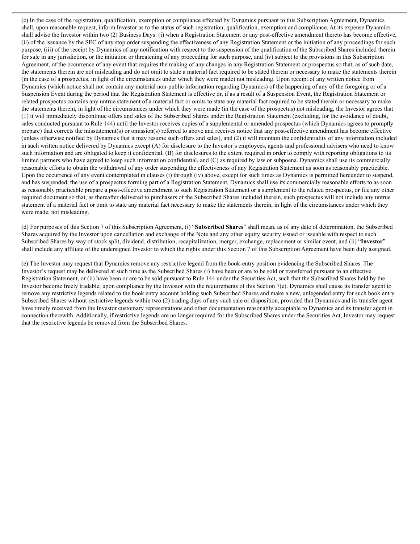(c) In the case of the registration, qualification, exemption or compliance effected by Dynamics pursuant to this Subscription Agreement, Dynamics shall, upon reasonable request, inform Investor as to the status of such registration, qualification, exemption and compliance. At its expense Dynamics shall advise the Investor within two (2) Business Days: (i) when a Registration Statement or any post-effective amendment thereto has become effective, (ii) of the issuance by the SEC of any stop order suspending the effectiveness of any Registration Statement or the initiation of any proceedings for such purpose, (iii) of the receipt by Dynamics of any notification with respect to the suspension of the qualification of the Subscribed Shares included therein for sale in any jurisdiction, or the initiation or threatening of any proceeding for such purpose, and (iv) subject to the provisions in this Subscription Agreement, of the occurrence of any event that requires the making of any changes in any Registration Statement or prospectus so that, as of such date, the statements therein are not misleading and do not omit to state a material fact required to be stated therein or necessary to make the statements therein (in the case of a prospectus, in light of the circumstances under which they were made) not misleading. Upon receipt of any written notice from Dynamics (which notice shall not contain any material non-public information regarding Dynamics) of the happening of any of the foregoing or of a Suspension Event during the period that the Registration Statement is effective or, if as a result of a Suspension Event, the Registration Statement or related prospectus contains any untrue statement of a material fact or omits to state any material fact required to be stated therein or necessary to make the statements therein, in light of the circumstances under which they were made (in the case of the prospectus) not misleading, the Investor agrees that (1) it will immediately discontinue offers and sales of the Subscribed Shares under the Registration Statement (excluding, for the avoidance of doubt, sales conducted pursuant to Rule 144) until the Investor receives copies of a supplemental or amended prospectus (which Dynamics agrees to promptly prepare) that corrects the misstatement(s) or omission(s) referred to above and receives notice that any post-effective amendment has become effective (unless otherwise notified by Dynamics that it may resume such offers and sales), and (2) it will maintain the confidentiality of any information included in such written notice delivered by Dynamics except (A) for disclosure to the Investor's employees, agents and professional advisers who need to know such information and are obligated to keep it confidential, (B) for disclosures to the extent required in order to comply with reporting obligations to its limited partners who have agreed to keep such information confidential, and (C) as required by law or subpoena. Dynamics shall use its commercially reasonable efforts to obtain the withdrawal of any order suspending the effectiveness of any Registration Statement as soon as reasonably practicable. Upon the occurrence of any event contemplated in clauses (i) through (iv) above, except for such times as Dynamics is permitted hereunder to suspend, and has suspended, the use of a prospectus forming part of a Registration Statement, Dynamics shall use its commercially reasonable efforts to as soon as reasonably practicable prepare a post-effective amendment to such Registration Statement or a supplement to the related prospectus, or file any other required document so that, as thereafter delivered to purchasers of the Subscribed Shares included therein, such prospectus will not include any untrue statement of a material fact or omit to state any material fact necessary to make the statements therein, in light of the circumstances under which they were made, not misleading.

(d) For purposes of this Section 7 of this Subscription Agreement, (i) "**Subscribed Shares**" shall mean, as of any date of determination, the Subscribed Shares acquired by the Investor upon cancellation and exchange of the Note and any other equity security issued or issuable with respect to such Subscribed Shares by way of stock split, dividend, distribution, recapitalization, merger, exchange, replacement or similar event, and (ii) "**Investor**" shall include any affiliate of the undersigned Investor to which the rights under this Section 7 of this Subscription Agreement have been duly assigned.

(e) The Investor may request that Dynamics remove any restrictive legend from the book-entry position evidencing the Subscribed Shares. The Investor's request may be delivered at such time as the Subscribed Shares (i) have been or are to be sold or transferred pursuant to an effective Registration Statement, or (ii) have been or are to be sold pursuant to Rule 144 under the Securities Act, such that the Subscribed Shares held by the Investor become freely tradable, upon compliance by the Investor with the requirements of this Section  $7(e)$ . Dynamics shall cause its transfer agent to remove any restrictive legends related to the book entry account holding such Subscribed Shares and make a new, unlegended entry for such book entry Subscribed Shares without restrictive legends within two (2) trading days of any such sale or disposition, provided that Dynamics and its transfer agent have timely received from the Investor customary representations and other documentation reasonably acceptable to Dynamics and its transfer agent in connection therewith. Additionally, if restrictive legends are no longer required for the Subscribed Shares under the Securities Act, Investor may request that the restrictive legends be removed from the Subscribed Shares.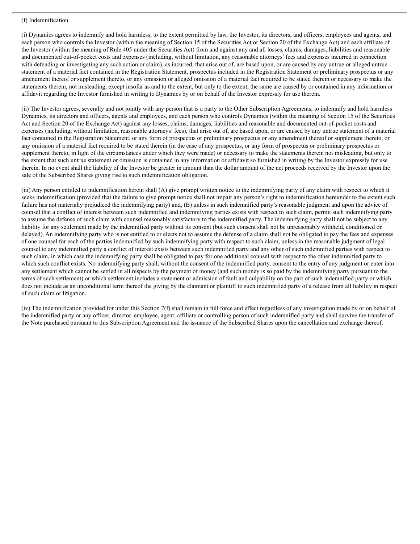#### (f) Indemnification.

(i) Dynamics agrees to indemnify and hold harmless, to the extent permitted by law, the Investor, its directors, and officers, employees and agents, and each person who controls the Investor (within the meaning of Section 15 of the Securities Act or Section 20 of the Exchange Act) and each affiliate of the Investor (within the meaning of Rule 405 under the Securities Act) from and against any and all losses, claims, damages, liabilities and reasonable and documented out-of-pocket costs and expenses (including, without limitation, any reasonable attorneys' fees and expenses incurred in connection with defending or investigating any such action or claim), as incurred, that arise out of, are based upon, or are caused by any untrue or alleged untrue statement of a material fact contained in the Registration Statement, prospectus included in the Registration Statement or preliminary prospectus or any amendment thereof or supplement thereto, or any omission or alleged omission of a material fact required to be stated therein or necessary to make the statements therein, not misleading, except insofar as and to the extent, but only to the extent, the same are caused by or contained in any information or affidavit regarding the Investor furnished in writing to Dynamics by or on behalf of the Investor expressly for use therein.

(ii) The Investor agrees, severally and not jointly with any person that is a party to the Other Subscription Agreements, to indemnify and hold harmless Dynamics, its directors and officers, agents and employees, and each person who controls Dynamics (within the meaning of Section 15 of the Securities Act and Section 20 of the Exchange Act) against any losses, claims, damages, liabilities and reasonable and documented out-of-pocket costs and expenses (including, without limitation, reasonable attorneys' fees), that arise out of, are based upon, or are caused by any untrue statement of a material fact contained in the Registration Statement, or any form of prospectus or preliminary prospectus or any amendment thereof or supplement thereto, or any omission of a material fact required to be stated therein (in the case of any prospectus, or any form of prospectus or preliminary prospectus or supplement thereto, in light of the circumstances under which they were made) or necessary to make the statements therein not misleading, but only to the extent that such untrue statement or omission is contained in any information or affidavit so furnished in writing by the Investor expressly for use therein. In no event shall the liability of the Investor be greater in amount than the dollar amount of the net proceeds received by the Investor upon the sale of the Subscribed Shares giving rise to such indemnification obligation.

(iii) Any person entitled to indemnification herein shall (A) give prompt written notice to the indemnifying party of any claim with respect to which it seeks indemnification (provided that the failure to give prompt notice shall not impair any person's right to indemnification hereunder to the extent such failure has not materially prejudiced the indemnifying party) and, (B) unless in such indemnified party's reasonable judgment and upon the advice of counsel that a conflict of interest between such indemnified and indemnifying parties exists with respect to such claim, permit such indemnifying party to assume the defense of such claim with counsel reasonably satisfactory to the indemnified party. The indemnifying party shall not be subject to any liability for any settlement made by the indemnified party without its consent (but such consent shall not be unreasonably withheld, conditioned or delayed). An indemnifying party who is not entitled to or elects not to assume the defense of a claim shall not be obligated to pay the fees and expenses of one counsel for each of the parties indemnified by such indemnifying party with respect to such claim, unless in the reasonable judgment of legal counsel to any indemnified party a conflict of interest exists between such indemnified party and any other of such indemnified parties with respect to such claim, in which case the indemnifying party shall be obligated to pay for one additional counsel with respect to the other indemnified party to which such conflict exists. No indemnifying party shall, without the consent of the indemnified party, consent to the entry of any judgment or enter into any settlement which cannot be settled in all respects by the payment of money (and such money is so paid by the indemnifying party pursuant to the terms of such settlement) or which settlement includes a statement or admission of fault and culpability on the part of such indemnified party or which does not include as an unconditional term thereof the giving by the claimant or plaintiff to such indemnified party of a release from all liability in respect of such claim or litigation.

(iv) The indemnification provided for under this Section 7(f) shall remain in full force and effect regardless of any investigation made by or on behalf of the indemnified party or any officer, director, employee, agent, affiliate or controlling person of such indemnified party and shall survive the transfer of the Note purchased pursuant to this Subscription Agreement and the issuance of the Subscribed Shares upon the cancellation and exchange thereof.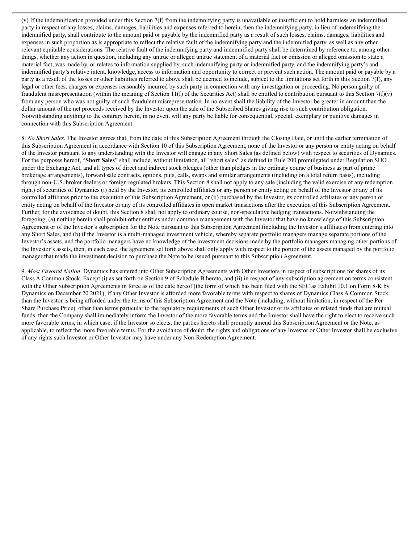(v) If the indemnification provided under this Section 7(f) from the indemnifying party is unavailable or insufficient to hold harmless an indemnified party in respect of any losses, claims, damages, liabilities and expenses referred to herein, then the indemnifying party, in lieu of indemnifying the indemnified party, shall contribute to the amount paid or payable by the indemnified party as a result of such losses, claims, damages, liabilities and expenses in such proportion as is appropriate to reflect the relative fault of the indemnifying party and the indemnified party, as well as any other relevant equitable considerations. The relative fault of the indemnifying party and indemnified party shall be determined by reference to, among other things, whether any action in question, including any untrue or alleged untrue statement of a material fact or omission or alleged omission to state a material fact, was made by, or relates to information supplied by, such indemnifying party or indemnified party, and the indemnifying party's and indemnified party's relative intent, knowledge, access to information and opportunity to correct or prevent such action. The amount paid or payable by a party as a result of the losses or other liabilities referred to above shall be deemed to include, subject to the limitations set forth in this Section 7(f), any legal or other fees, charges or expenses reasonably incurred by such party in connection with any investigation or proceeding. No person guilty of fraudulent misrepresentation (within the meaning of Section 11(f) of the Securities Act) shall be entitled to contribution pursuant to this Section 7(f)(v) from any person who was not guilty of such fraudulent misrepresentation. In no event shall the liability of the Investor be greater in amount than the dollar amount of the net proceeds received by the Investor upon the sale of the Subscribed Shares giving rise to such contribution obligation. Notwithstanding anything to the contrary herein, in no event will any party be liable for consequential, special, exemplary or punitive damages in connection with this Subscription Agreement.

8. *No Short Sales*. The Investor agrees that, from the date of this Subscription Agreement through the Closing Date, or until the earlier termination of this Subscription Agreement in accordance with Section 10 of this Subscription Agreement, none of the Investor or any person or entity acting on behalf of the Investor pursuant to any understanding with the Investor will engage in any Short Sales (as defined below) with respect to securities of Dynamics. For the purposes hereof, "**Short Sales**" shall include, without limitation, all "short sales" as defined in Rule 200 promulgated under Regulation SHO under the Exchange Act, and all types of direct and indirect stock pledges (other than pledges in the ordinary course of business as part of prime brokerage arrangements), forward sale contracts, options, puts, calls, swaps and similar arrangements (including on a total return basis), including through non-U.S. broker dealers or foreign regulated brokers. This Section 8 shall not apply to any sale (including the valid exercise of any redemption right) of securities of Dynamics (i) held by the Investor, its controlled affiliates or any person or entity acting on behalf of the Investor or any of its controlled affiliates prior to the execution of this Subscription Agreement, or (ii) purchased by the Investor, its controlled affiliates or any person or entity acting on behalf of the Investor or any of its controlled affiliates in open market transactions after the execution of this Subscription Agreement. Further, for the avoidance of doubt, this Section 8 shall not apply to ordinary course, non-speculative hedging transactions. Notwithstanding the foregoing, (a) nothing herein shall prohibit other entities under common management with the Investor that have no knowledge of this Subscription Agreement or of the Investor's subscription for the Note pursuant to this Subscription Agreement (including the Investor's affiliates) from entering into any Short Sales, and (b) if the Investor is a multi-managed investment vehicle, whereby separate portfolio managers manage separate portions of the Investor's assets, and the portfolio managers have no knowledge of the investment decisions made by the portfolio managers managing other portions of the Investor's assets, then, in each case, the agreement set forth above shall only apply with respect to the portion of the assets managed by the portfolio manager that made the investment decision to purchase the Note to be issued pursuant to this Subscription Agreement.

9. *Most Favored Nation*. Dynamics has entered into Other Subscription Agreements with Other Investors in respect of subscriptions for shares of its Class A Common Stock. Except (i) as set forth on Section 9 of Schedule B hereto, and (ii) in respect of any subscription agreement on terms consistent with the Other Subscription Agreements in force as of the date hereof (the form of which has been filed with the SEC as Exhibit 10.1 on Form 8-K by Dynamics on December 20 2021), if any Other Investor is afforded more favorable terms with respect to shares of Dynamics Class A Common Stock than the Investor is being afforded under the terms of this Subscription Agreement and the Note (including, without limitation, in respect of the Per Share Purchase Price), other than terms particular to the regulatory requirements of such Other Investor or its affiliates or related funds that are mutual funds, then the Company shall immediately inform the Investor of the more favorable terms and the Investor shall have the right to elect to receive such more favorable terms, in which case, if the Investor so elects, the parties hereto shall promptly amend this Subscription Agreement or the Note, as applicable, to reflect the more favorable terms. For the avoidance of doubt, the rights and obligations of any Investor or Other Investor shall be exclusive of any rights such Investor or Other Investor may have under any Non-Redemption Agreement.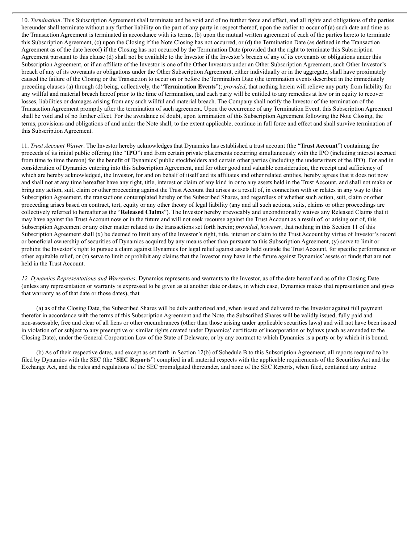10. *Termination*. This Subscription Agreement shall terminate and be void and of no further force and effect, and all rights and obligations of the parties hereunder shall terminate without any further liability on the part of any party in respect thereof, upon the earlier to occur of (a) such date and time as the Transaction Agreement is terminated in accordance with its terms, (b) upon the mutual written agreement of each of the parties hereto to terminate this Subscription Agreement, (c) upon the Closing if the Note Closing has not occurred, or (d) the Termination Date (as defined in the Transaction Agreement as of the date hereof) if the Closing has not occurred by the Termination Date (provided that the right to terminate this Subscription Agreement pursuant to this clause (d) shall not be available to the Investor if the Investor's breach of any of its covenants or obligations under this Subscription Agreement, or if an affiliate of the Investor is one of the Other Investors under an Other Subscription Agreement, such Other Investor's breach of any of its covenants or obligations under the Other Subscription Agreement, either individually or in the aggregate, shall have proximately caused the failure of the Closing or the Transaction to occur on or before the Termination Date (the termination events described in the immediately preceding clauses (a) through (d) being, collectively, the "**Termination Events**"); *provided*, that nothing herein will relieve any party from liability for any willful and material breach hereof prior to the time of termination, and each party will be entitled to any remedies at law or in equity to recover losses, liabilities or damages arising from any such willful and material breach. The Company shall notify the Investor of the termination of the Transaction Agreement promptly after the termination of such agreement. Upon the occurrence of any Termination Event, this Subscription Agreement shall be void and of no further effect. For the avoidance of doubt, upon termination of this Subscription Agreement following the Note Closing, the terms, provisions and obligations of and under the Note shall, to the extent applicable, continue in full force and effect and shall survive termination of this Subscription Agreement.

11. *Trust Account Waiver*. The Investor hereby acknowledges that Dynamics has established a trust account (the "**Trust Account**") containing the proceeds of its initial public offering (the "**IPO**") and from certain private placements occurring simultaneously with the IPO (including interest accrued from time to time thereon) for the benefit of Dynamics' public stockholders and certain other parties (including the underwriters of the IPO). For and in consideration of Dynamics entering into this Subscription Agreement, and for other good and valuable consideration, the receipt and sufficiency of which are hereby acknowledged, the Investor, for and on behalf of itself and its affiliates and other related entities, hereby agrees that it does not now and shall not at any time hereafter have any right, title, interest or claim of any kind in or to any assets held in the Trust Account, and shall not make or bring any action, suit, claim or other proceeding against the Trust Account that arises as a result of, in connection with or relates in any way to this Subscription Agreement, the transactions contemplated hereby or the Subscribed Shares, and regardless of whether such action, suit, claim or other proceeding arises based on contract, tort, equity or any other theory of legal liability (any and all such actions, suits, claims or other proceedings are collectively referred to hereafter as the "**Released Claims**"). The Investor hereby irrevocably and unconditionally waives any Released Claims that it may have against the Trust Account now or in the future and will not seek recourse against the Trust Account as a result of, or arising out of, this Subscription Agreement or any other matter related to the transactions set forth herein; *provided*, *however*, that nothing in this Section 11 of this Subscription Agreement shall (x) be deemed to limit any of the Investor's right, title, interest or claim to the Trust Account by virtue of Investor's record or beneficial ownership of securities of Dynamics acquired by any means other than pursuant to this Subscription Agreement, (y) serve to limit or prohibit the Investor's right to pursue a claim against Dynamics for legal relief against assets held outside the Trust Account, for specific performance or other equitable relief, or (z) serve to limit or prohibit any claims that the Investor may have in the future against Dynamics' assets or funds that are not held in the Trust Account.

*12. Dynamics Representations and Warranties*. Dynamics represents and warrants to the Investor, as of the date hereof and as of the Closing Date (unless any representation or warranty is expressed to be given as at another date or dates, in which case, Dynamics makes that representation and gives that warranty as of that date or those dates), that

(a) as of the Closing Date, the Subscribed Shares will be duly authorized and, when issued and delivered to the Investor against full payment therefor in accordance with the terms of this Subscription Agreement and the Note, the Subscribed Shares will be validly issued, fully paid and non-assessable, free and clear of all liens or other encumbrances (other than those arising under applicable securities laws) and will not have been issued in violation of or subject to any preemptive or similar rights created under Dynamics' certificate of incorporation or bylaws (each as amended to the Closing Date), under the General Corporation Law of the State of Delaware, or by any contract to which Dynamics is a party or by which it is bound.

(b) As of their respective dates, and except as set forth in Section 12(b) of Schedule B to this Subscription Agreement, all reports required to be filed by Dynamics with the SEC (the "**SEC Reports**") complied in all material respects with the applicable requirements of the Securities Act and the Exchange Act, and the rules and regulations of the SEC promulgated thereunder, and none of the SEC Reports, when filed, contained any untrue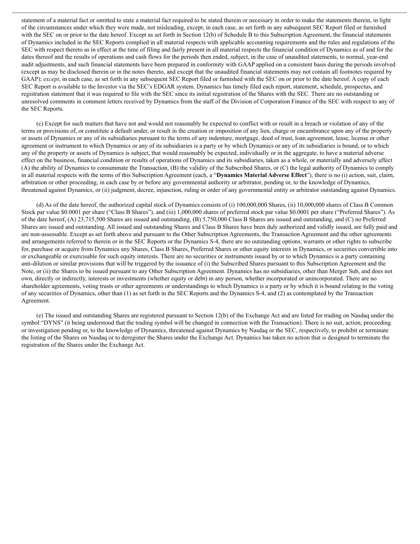statement of a material fact or omitted to state a material fact required to be stated therein or necessary in order to make the statements therein, in light of the circumstances under which they were made, not misleading, except, in each case, as set forth in any subsequent SEC Report filed or furnished with the SEC on or prior to the date hereof. Except as set forth in Section 12(b) of Schedule B to this Subscription Agreement, the financial statements of Dynamics included in the SEC Reports complied in all material respects with applicable accounting requirements and the rules and regulations of the SEC with respect thereto as in effect at the time of filing and fairly present in all material respects the financial condition of Dynamics as of and for the dates thereof and the results of operations and cash flows for the periods then ended, subject, in the case of unaudited statements, to normal, year-end audit adjustments, and such financial statements have been prepared in conformity with GAAP applied on a consistent basis during the periods involved (except as may be disclosed therein or in the notes thereto, and except that the unaudited financial statements may not contain all footnotes required by GAAP); *except*, in each case, as set forth in any subsequent SEC Report filed or furnished with the SEC on or prior to the date hereof. A copy of each SEC Report is available to the Investor via the SEC's EDGAR system. Dynamics has timely filed each report, statement, schedule, prospectus, and registration statement that it was required to file with the SEC since its initial registration of the Shares with the SEC. There are no outstanding or unresolved comments in comment letters received by Dynamics from the staff of the Division of Corporation Finance of the SEC with respect to any of the SEC Reports.

(c) Except for such matters that have not and would not reasonably be expected to conflict with or result in a breach or violation of any of the terms or provisions of, or constitute a default under, or result in the creation or imposition of any lien, charge or encumbrance upon any of the property or assets of Dynamics or any of its subsidiaries pursuant to the terms of any indenture, mortgage, deed of trust, loan agreement, lease, license or other agreement or instrument to which Dynamics or any of its subsidiaries is a party or by which Dynamics or any of its subsidiaries is bound, or to which any of the property or assets of Dynamics is subject, that would reasonably be expected, individually or in the aggregate, to have a material adverse effect on the business, financial condition or results of operations of Dynamics and its subsidiaries, taken as a whole, or materially and adversely affect (A) the ability of Dynamics to consummate the Transaction, (B) the validity of the Subscribed Shares, or (C) the legal authority of Dynamics to comply in all material respects with the terms of this Subscription Agreement (each, a "**Dynamics Material Adverse Effect**"), there is no (i) action, suit, claim, arbitration or other proceeding, in each case by or before any governmental authority or arbitrator, pending or, to the knowledge of Dynamics, threatened against Dynamics, or (ii) judgment, decree, injunction, ruling or order of any governmental entity or arbitrator outstanding against Dynamics.

(d) As of the date hereof, the authorized capital stock of Dynamics consists of (i) 100,000,000 Shares, (ii) 10,000,000 shares of Class B Common Stock par value \$0.0001 per share ("Class B Shares"), and (iii) 1,000,000 shares of preferred stock par value \$0.0001 per share ("Preferred Shares"). As of the date hereof, (A) 23,715,500 Shares are issued and outstanding, (B) 5,750,000 Class B Shares are issued and outstanding, and (C) no Preferred Shares are issued and outstanding. All issued and outstanding Shares and Class B Shares have been duly authorized and validly issued, are fully paid and are non-assessable. Except as set forth above and pursuant to the Other Subscription Agreements, the Transaction Agreement and the other agreements and arrangements referred to therein or in the SEC Reports or the Dynamics S-4, there are no outstanding options, warrants or other rights to subscribe for, purchase or acquire from Dynamics any Shares, Class B Shares, Preferred Shares or other equity interests in Dynamics, or securities convertible into or exchangeable or exercisable for such equity interests. There are no securities or instruments issued by or to which Dynamics is a party containing anti-dilution or similar provisions that will be triggered by the issuance of (i) the Subscribed Shares pursuant to this Subscription Agreement and the Note, or (ii) the Shares to be issued pursuant to any Other Subscription Agreement. Dynamics has no subsidiaries, other than Merger Sub, and does not own, directly or indirectly, interests or investments (whether equity or debt) in any person, whether incorporated or unincorporated. There are no shareholder agreements, voting trusts or other agreements or understandings to which Dynamics is a party or by which it is bound relating to the voting of any securities of Dynamics, other than (1) as set forth in the SEC Reports and the Dynamics S-4, and (2) as contemplated by the Transaction Agreement.

(e) The issued and outstanding Shares are registered pursuant to Section 12(b) of the Exchange Act and are listed for trading on Nasdaq under the symbol "DYNS" (it being understood that the trading symbol will be changed in connection with the Transaction). There is no suit, action, proceeding or investigation pending or, to the knowledge of Dynamics, threatened against Dynamics by Nasdaq or the SEC, respectively, to prohibit or terminate the listing of the Shares on Nasdaq or to deregister the Shares under the Exchange Act. Dynamics has taken no action that is designed to terminate the registration of the Shares under the Exchange Act.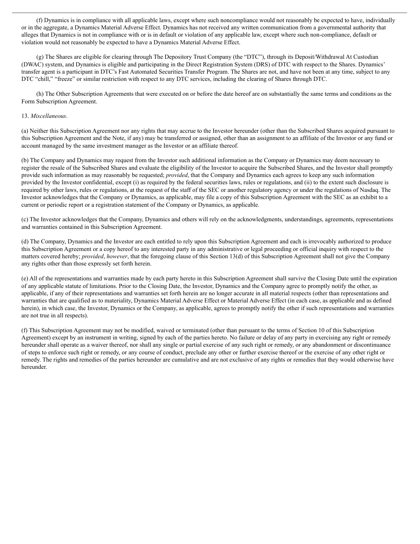(f) Dynamics is in compliance with all applicable laws, except where such noncompliance would not reasonably be expected to have, individually or in the aggregate, a Dynamics Material Adverse Effect. Dynamics has not received any written communication from a governmental authority that alleges that Dynamics is not in compliance with or is in default or violation of any applicable law, except where such non-compliance, default or violation would not reasonably be expected to have a Dynamics Material Adverse Effect.

(g) The Shares are eligible for clearing through The Depository Trust Company (the "DTC"), through its Deposit/Withdrawal At Custodian (DWAC) system, and Dynamics is eligible and participating in the Direct Registration System (DRS) of DTC with respect to the Shares. Dynamics' transfer agent is a participant in DTC's Fast Automated Securities Transfer Program. The Shares are not, and have not been at any time, subject to any DTC "chill," "freeze" or similar restriction with respect to any DTC services, including the clearing of Shares through DTC.

(h) The Other Subscription Agreements that were executed on or before the date hereof are on substantially the same terms and conditions as the Form Subscription Agreement.

#### 13. *Miscellaneous*.

(a) Neither this Subscription Agreement nor any rights that may accrue to the Investor hereunder (other than the Subscribed Shares acquired pursuant to this Subscription Agreement and the Note, if any) may be transferred or assigned, other than an assignment to an affiliate of the Investor or any fund or account managed by the same investment manager as the Investor or an affiliate thereof.

(b) The Company and Dynamics may request from the Investor such additional information as the Company or Dynamics may deem necessary to register the resale of the Subscribed Shares and evaluate the eligibility of the Investor to acquire the Subscribed Shares, and the Investor shall promptly provide such information as may reasonably be requested; *provided*, that the Company and Dynamics each agrees to keep any such information provided by the Investor confidential, except (i) as required by the federal securities laws, rules or regulations, and (ii) to the extent such disclosure is required by other laws, rules or regulations, at the request of the staff of the SEC or another regulatory agency or under the regulations of Nasdaq. The Investor acknowledges that the Company or Dynamics, as applicable, may file a copy of this Subscription Agreement with the SEC as an exhibit to a current or periodic report or a registration statement of the Company or Dynamics, as applicable.

(c) The Investor acknowledges that the Company, Dynamics and others will rely on the acknowledgments, understandings, agreements, representations and warranties contained in this Subscription Agreement.

(d) The Company, Dynamics and the Investor are each entitled to rely upon this Subscription Agreement and each is irrevocably authorized to produce this Subscription Agreement or a copy hereof to any interested party in any administrative or legal proceeding or official inquiry with respect to the matters covered hereby; *provided*, *however*, that the foregoing clause of this Section 13(d) of this Subscription Agreement shall not give the Company any rights other than those expressly set forth herein.

(e) All of the representations and warranties made by each party hereto in this Subscription Agreement shall survive the Closing Date until the expiration of any applicable statute of limitations. Prior to the Closing Date, the Investor, Dynamics and the Company agree to promptly notify the other, as applicable, if any of their representations and warranties set forth herein are no longer accurate in all material respects (other than representations and warranties that are qualified as to materiality, Dynamics Material Adverse Effect or Material Adverse Effect (in each case, as applicable and as defined herein), in which case, the Investor, Dynamics or the Company, as applicable, agrees to promptly notify the other if such representations and warranties are not true in all respects).

(f) This Subscription Agreement may not be modified, waived or terminated (other than pursuant to the terms of Section 10 of this Subscription Agreement) except by an instrument in writing, signed by each of the parties hereto. No failure or delay of any party in exercising any right or remedy hereunder shall operate as a waiver thereof, nor shall any single or partial exercise of any such right or remedy, or any abandonment or discontinuance of steps to enforce such right or remedy, or any course of conduct, preclude any other or further exercise thereof or the exercise of any other right or remedy. The rights and remedies of the parties hereunder are cumulative and are not exclusive of any rights or remedies that they would otherwise have hereunder.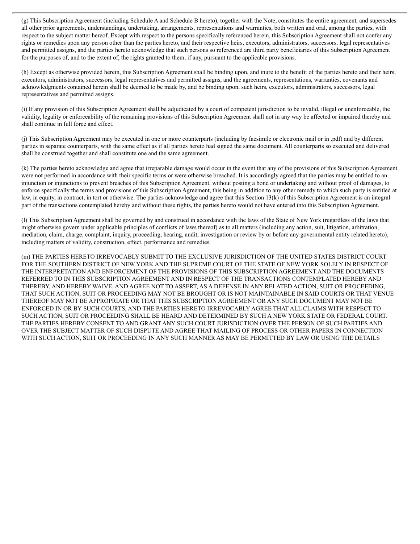(g) This Subscription Agreement (including Schedule A and Schedule B hereto), together with the Note, constitutes the entire agreement, and supersedes all other prior agreements, understandings, undertaking, arrangements, representations and warranties, both written and oral, among the parties, with respect to the subject matter hereof. Except with respect to the persons specifically referenced herein, this Subscription Agreement shall not confer any rights or remedies upon any person other than the parties hereto, and their respective heirs, executors, administrators, successors, legal representatives and permitted assigns, and the parties hereto acknowledge that such persons so referenced are third party beneficiaries of this Subscription Agreement for the purposes of, and to the extent of, the rights granted to them, if any, pursuant to the applicable provisions.

(h) Except as otherwise provided herein, this Subscription Agreement shall be binding upon, and inure to the benefit of the parties hereto and their heirs, executors, administrators, successors, legal representatives and permitted assigns, and the agreements, representations, warranties, covenants and acknowledgments contained herein shall be deemed to be made by, and be binding upon, such heirs, executors, administrators, successors, legal representatives and permitted assigns.

(i) If any provision of this Subscription Agreement shall be adjudicated by a court of competent jurisdiction to be invalid, illegal or unenforceable, the validity, legality or enforceability of the remaining provisions of this Subscription Agreement shall not in any way be affected or impaired thereby and shall continue in full force and effect.

(j) This Subscription Agreement may be executed in one or more counterparts (including by facsimile or electronic mail or in .pdf) and by different parties in separate counterparts, with the same effect as if all parties hereto had signed the same document. All counterparts so executed and delivered shall be construed together and shall constitute one and the same agreement.

(k) The parties hereto acknowledge and agree that irreparable damage would occur in the event that any of the provisions of this Subscription Agreement were not performed in accordance with their specific terms or were otherwise breached. It is accordingly agreed that the parties may be entitled to an injunction or injunctions to prevent breaches of this Subscription Agreement, without posting a bond or undertaking and without proof of damages, to enforce specifically the terms and provisions of this Subscription Agreement, this being in addition to any other remedy to which such party is entitled at law, in equity, in contract, in tort or otherwise. The parties acknowledge and agree that this Section 13(k) of this Subscription Agreement is an integral part of the transactions contemplated hereby and without these rights, the parties hereto would not have entered into this Subscription Agreement.

(l) This Subscription Agreement shall be governed by and construed in accordance with the laws of the State of New York (regardless of the laws that might otherwise govern under applicable principles of conflicts of laws thereof) as to all matters (including any action, suit, litigation, arbitration, mediation, claim, charge, complaint, inquiry, proceeding, hearing, audit, investigation or review by or before any governmental entity related hereto), including matters of validity, construction, effect, performance and remedies.

(m) THE PARTIES HERETO IRREVOCABLY SUBMIT TO THE EXCLUSIVE JURISDICTION OF THE UNITED STATES DISTRICT COURT FOR THE SOUTHERN DISTRICT OF NEW YORK AND THE SUPREME COURT OF THE STATE OF NEW YORK SOLELY IN RESPECT OF THE INTERPRETATION AND ENFORCEMENT OF THE PROVISIONS OF THIS SUBSCRIPTION AGREEMENT AND THE DOCUMENTS REFERRED TO IN THIS SUBSCRIPTION AGREEMENT AND IN RESPECT OF THE TRANSACTIONS CONTEMPLATED HEREBY AND THEREBY, AND HEREBY WAIVE, AND AGREE NOT TO ASSERT, AS A DEFENSE IN ANY RELATED ACTION, SUIT OR PROCEEDING, THAT SUCH ACTION, SUIT OR PROCEEDING MAY NOT BE BROUGHT OR IS NOT MAINTAINABLE IN SAID COURTS OR THAT VENUE THEREOF MAY NOT BE APPROPRIATE OR THAT THIS SUBSCRIPTION AGREEMENT OR ANY SUCH DOCUMENT MAY NOT BE ENFORCED IN OR BY SUCH COURTS, AND THE PARTIES HERETO IRREVOCABLY AGREE THAT ALL CLAIMS WITH RESPECT TO SUCH ACTION, SUIT OR PROCEEDING SHALL BE HEARD AND DETERMINED BY SUCH A NEW YORK STATE OR FEDERAL COURT. THE PARTIES HEREBY CONSENT TO AND GRANT ANY SUCH COURT JURISDICTION OVER THE PERSON OF SUCH PARTIES AND OVER THE SUBJECT MATTER OF SUCH DISPUTE AND AGREE THAT MAILING OF PROCESS OR OTHER PAPERS IN CONNECTION WITH SUCH ACTION, SUIT OR PROCEEDING IN ANY SUCH MANNER AS MAY BE PERMITTED BY LAW OR USING THE DETAILS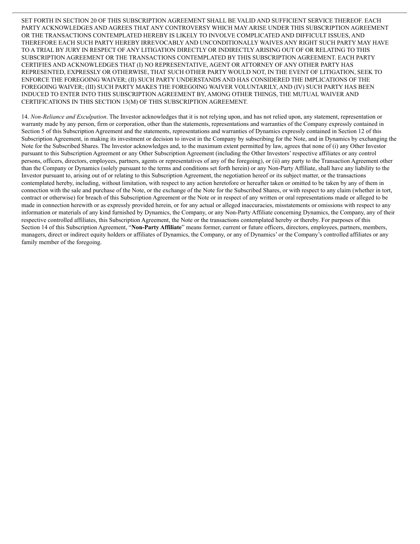SET FORTH IN SECTION 20 OF THIS SUBSCRIPTION AGREEMENT SHALL BE VALID AND SUFFICIENT SERVICE THEREOF. EACH PARTY ACKNOWLEDGES AND AGREES THAT ANY CONTROVERSY WHICH MAY ARISE UNDER THIS SUBSCRIPTION AGREEMENT OR THE TRANSACTIONS CONTEMPLATED HEREBY IS LIKELY TO INVOLVE COMPLICATED AND DIFFICULT ISSUES, AND THEREFORE EACH SUCH PARTY HEREBY IRREVOCABLY AND UNCONDITIONALLY WAIVES ANY RIGHT SUCH PARTY MAY HAVE TO A TRIAL BY JURY IN RESPECT OF ANY LITIGATION DIRECTLY OR INDIRECTLY ARISING OUT OF OR RELATING TO THIS SUBSCRIPTION AGREEMENT OR THE TRANSACTIONS CONTEMPLATED BY THIS SUBSCRIPTION AGREEMENT. EACH PARTY CERTIFIES AND ACKNOWLEDGES THAT (I) NO REPRESENTATIVE, AGENT OR ATTORNEY OF ANY OTHER PARTY HAS REPRESENTED, EXPRESSLY OR OTHERWISE, THAT SUCH OTHER PARTY WOULD NOT, IN THE EVENT OF LITIGATION, SEEK TO ENFORCE THE FOREGOING WAIVER; (II) SUCH PARTY UNDERSTANDS AND HAS CONSIDERED THE IMPLICATIONS OF THE FOREGOING WAIVER; (III) SUCH PARTY MAKES THE FOREGOING WAIVER VOLUNTARILY, AND (IV) SUCH PARTY HAS BEEN INDUCED TO ENTER INTO THIS SUBSCRIPTION AGREEMENT BY, AMONG OTHER THINGS, THE MUTUAL WAIVER AND CERTIFICATIONS IN THIS SECTION 13(M) OF THIS SUBSCRIPTION AGREEMENT.

14. *Non-Reliance and Exculpation*. The Investor acknowledges that it is not relying upon, and has not relied upon, any statement, representation or warranty made by any person, firm or corporation, other than the statements, representations and warranties of the Company expressly contained in Section 5 of this Subscription Agreement and the statements, representations and warranties of Dynamics expressly contained in Section 12 of this Subscription Agreement, in making its investment or decision to invest in the Company by subscribing for the Note, and in Dynamics by exchanging the Note for the Subscribed Shares. The Investor acknowledges and, to the maximum extent permitted by law, agrees that none of (i) any Other Investor pursuant to this Subscription Agreement or any Other Subscription Agreement (including the Other Investors' respective affiliates or any control persons, officers, directors, employees, partners, agents or representatives of any of the foregoing), or (ii) any party to the Transaction Agreement other than the Company or Dynamics (solely pursuant to the terms and conditions set forth herein) or any Non-Party Affiliate, shall have any liability to the Investor pursuant to, arising out of or relating to this Subscription Agreement, the negotiation hereof or its subject matter, or the transactions contemplated hereby, including, without limitation, with respect to any action heretofore or hereafter taken or omitted to be taken by any of them in connection with the sale and purchase of the Note, or the exchange of the Note for the Subscribed Shares, or with respect to any claim (whether in tort, contract or otherwise) for breach of this Subscription Agreement or the Note or in respect of any written or oral representations made or alleged to be made in connection herewith or as expressly provided herein, or for any actual or alleged inaccuracies, misstatements or omissions with respect to any information or materials of any kind furnished by Dynamics, the Company, or any Non-Party Affiliate concerning Dynamics, the Company, any of their respective controlled affiliates, this Subscription Agreement, the Note or the transactions contemplated hereby or thereby. For purposes of this Section 14 of this Subscription Agreement, "**Non-Party Affiliate**" means former, current or future officers, directors, employees, partners, members, managers, direct or indirect equity holders or affiliates of Dynamics, the Company, or any of Dynamics' or the Company's controlled affiliates or any family member of the foregoing.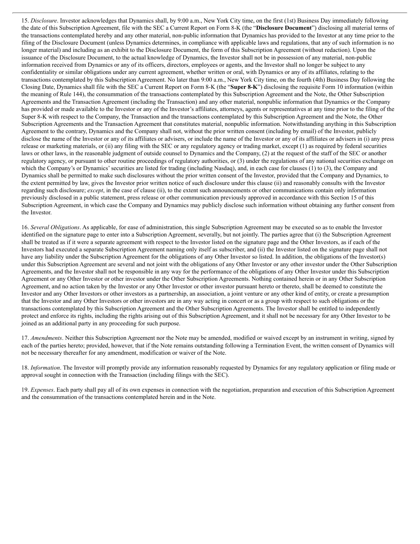15. *Disclosure*. Investor acknowledges that Dynamics shall, by 9:00 a.m., New York City time, on the first (1st) Business Day immediately following the date of this Subscription Agreement, file with the SEC a Current Report on Form 8-K (the "**Disclosure Document**") disclosing all material terms of the transactions contemplated hereby and any other material, non-public information that Dynamics has provided to the Investor at any time prior to the filing of the Disclosure Document (unless Dynamics determines, in compliance with applicable laws and regulations, that any of such information is no longer material) and including as an exhibit to the Disclosure Document, the form of this Subscription Agreement (without redaction). Upon the issuance of the Disclosure Document, to the actual knowledge of Dynamics, the Investor shall not be in possession of any material, non-public information received from Dynamics or any of its officers, directors, employees or agents, and the Investor shall no longer be subject to any confidentiality or similar obligations under any current agreement, whether written or oral, with Dynamics or any of its affiliates, relating to the transactions contemplated by this Subscription Agreement. No later than 9:00 a.m., New York City time, on the fourth (4th) Business Day following the Closing Date, Dynamics shall file with the SEC a Current Report on Form 8-K (the "**Super 8-K**") disclosing the requisite Form 10 information (within the meaning of Rule 144), the consummation of the transactions contemplated by this Subscription Agreement and the Note, the Other Subscription Agreements and the Transaction Agreement (including the Transaction) and any other material, nonpublic information that Dynamics or the Company has provided or made available to the Investor or any of the Investor's affiliates, attorneys, agents or representatives at any time prior to the filing of the Super 8-K with respect to the Company, the Transaction and the transactions contemplated by this Subscription Agreement and the Note, the Other Subscription Agreements and the Transaction Agreement that constitutes material, nonpublic information. Notwithstanding anything in this Subscription Agreement to the contrary, Dynamics and the Company shall not, without the prior written consent (including by email) of the Investor, publicly disclose the name of the Investor or any of its affiliates or advisers, or include the name of the Investor or any of its affiliates or advisers in (i) any press release or marketing materials, or (ii) any filing with the SEC or any regulatory agency or trading market, except (1) as required by federal securities laws or other laws, in the reasonable judgment of outside counsel to Dynamics and the Company, (2) at the request of the staff of the SEC or another regulatory agency, or pursuant to other routine proceedings of regulatory authorities, or (3) under the regulations of any national securities exchange on which the Company's or Dynamics' securities are listed for trading (including Nasdaq), and, in each case for clauses (1) to (3), the Company and Dynamics shall be permitted to make such disclosures without the prior written consent of the Investor, provided that the Company and Dynamics, to the extent permitted by law, gives the Investor prior written notice of such disclosure under this clause (ii) and reasonably consults with the Investor regarding such disclosure; *except*, in the case of clause (ii), to the extent such announcements or other communications contain only information previously disclosed in a public statement, press release or other communication previously approved in accordance with this Section 15 of this Subscription Agreement, in which case the Company and Dynamics may publicly disclose such information without obtaining any further consent from the Investor.

16. *Several Obligations*. As applicable, for ease of administration, this single Subscription Agreement may be executed so as to enable the Investor identified on the signature page to enter into a Subscription Agreement, severally, but not jointly. The parties agree that (i) the Subscription Agreement shall be treated as if it were a separate agreement with respect to the Investor listed on the signature page and the Other Investors, as if each of the Investors had executed a separate Subscription Agreement naming only itself as subscriber, and (ii) the Investor listed on the signature page shall not have any liability under the Subscription Agreement for the obligations of any Other Investor so listed. In addition, the obligations of the Investor(s) under this Subscription Agreement are several and not joint with the obligations of any Other Investor or any other investor under the Other Subscription Agreements, and the Investor shall not be responsible in any way for the performance of the obligations of any Other Investor under this Subscription Agreement or any Other Investor or other investor under the Other Subscription Agreements. Nothing contained herein or in any Other Subscription Agreement, and no action taken by the Investor or any Other Investor or other investor pursuant hereto or thereto, shall be deemed to constitute the Investor and any Other Investors or other investors as a partnership, an association, a joint venture or any other kind of entity, or create a presumption that the Investor and any Other Investors or other investors are in any way acting in concert or as a group with respect to such obligations or the transactions contemplated by this Subscription Agreement and the Other Subscription Agreements. The Investor shall be entitled to independently protect and enforce its rights, including the rights arising out of this Subscription Agreement, and it shall not be necessary for any Other Investor to be joined as an additional party in any proceeding for such purpose.

17. *Amendments*. Neither this Subscription Agreement nor the Note may be amended, modified or waived except by an instrument in writing, signed by each of the parties hereto; provided, however, that if the Note remains outstanding following a Termination Event, the written consent of Dynamics will not be necessary thereafter for any amendment, modification or waiver of the Note.

18. *Information*. The Investor will promptly provide any information reasonably requested by Dynamics for any regulatory application or filing made or approval sought in connection with the Transaction (including filings with the SEC).

19. *Expenses*. Each party shall pay all of its own expenses in connection with the negotiation, preparation and execution of this Subscription Agreement and the consummation of the transactions contemplated herein and in the Note.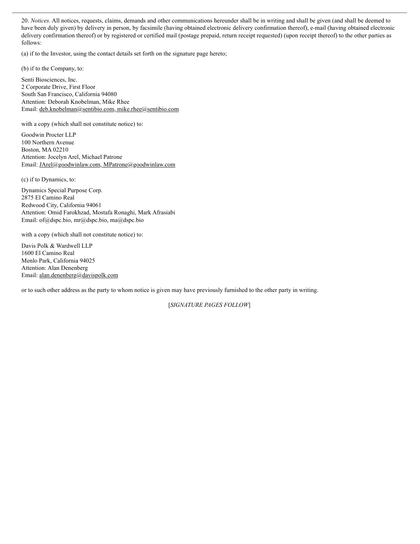20. *Notices*. All notices, requests, claims, demands and other communications hereunder shall be in writing and shall be given (and shall be deemed to have been duly given) by delivery in person, by facsimile (having obtained electronic delivery confirmation thereof), e-mail (having obtained electronic delivery confirmation thereof) or by registered or certified mail (postage prepaid, return receipt requested) (upon receipt thereof) to the other parties as follows:

(a) if to the Investor, using the contact details set forth on the signature page hereto;

(b) if to the Company, to:

Senti Biosciences, Inc. 2 Corporate Drive, First Floor South San Francisco, California 94080 Attention: Deborah Knobelman, Mike Rhee Email: deb.knobelman@sentibio.com, mike.rhee@sentibio.com

with a copy (which shall not constitute notice) to:

Goodwin Procter LLP 100 Northern Avenue Boston, MA 02210 Attention: Jocelyn Arel, Michael Patrone Email: JArel@goodwinlaw.com, MPatrone@goodwinlaw.com

(c) if to Dynamics, to:

Dynamics Special Purpose Corp. 2875 El Camino Real Redwood City, California 94061 Attention: Omid Farokhzad, Mostafa Ronaghi, Mark Afrasiabi Email: of@dspc.bio, mr@dspc.bio, ma@dspc.bio

with a copy (which shall not constitute notice) to:

Davis Polk & Wardwell LLP 1600 El Camino Real Menlo Park, California 94025 Attention: Alan Denenberg Email: alan.denenberg@davispolk.com

or to such other address as the party to whom notice is given may have previously furnished to the other party in writing.

[*SIGNATURE PAGES FOLLOW*]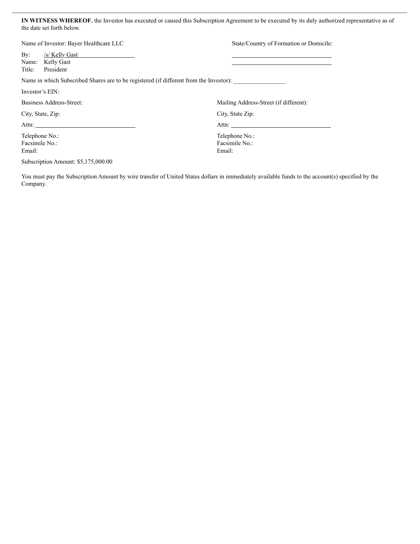**IN WITNESS WHEREOF**, the Investor has executed or caused this Subscription Agreement to be executed by its duly authorized representative as of the date set forth below.

| Name of Investor: Bayer Healthcare LLC                                                 |                                                 | State/Country of Formation or Domicile:    |  |  |
|----------------------------------------------------------------------------------------|-------------------------------------------------|--------------------------------------------|--|--|
| $\mathbf{By:}$<br>Title:                                                               | /s/ Kelly Gast<br>Name: Kelly Gast<br>President |                                            |  |  |
| Name in which Subscribed Shares are to be registered (if different from the Investor): |                                                 |                                            |  |  |
| Investor's EIN:                                                                        |                                                 |                                            |  |  |
| Business Address-Street:                                                               |                                                 | Mailing Address-Street (if different):     |  |  |
| City, State, Zip:                                                                      |                                                 | City, State Zip:                           |  |  |
|                                                                                        |                                                 | Attn:                                      |  |  |
| Telephone No.:<br>Facsimile No.:<br>Email:                                             |                                                 | Telephone No.:<br>Facsimile No.:<br>Email: |  |  |

Subscription Amount: \$5,175,000.00

You must pay the Subscription Amount by wire transfer of United States dollars in immediately available funds to the account(s) specified by the Company.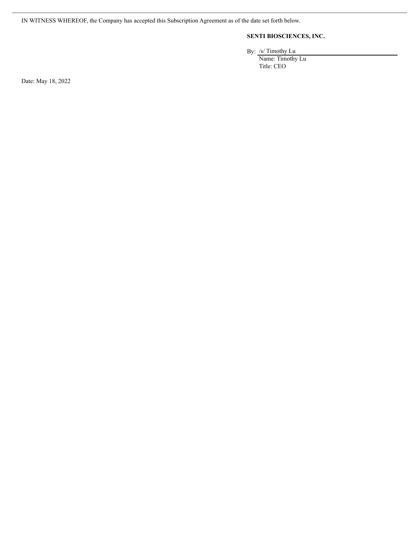IN WITNESS WHEREOF, the Company has accepted this Subscription Agreement as of the date set forth below.

### **SENTI BIOSCIENCES, INC.**

By: /s/ Timothy Lu

Name: Timothy Lu Title: CEO

Date: May 18, 2022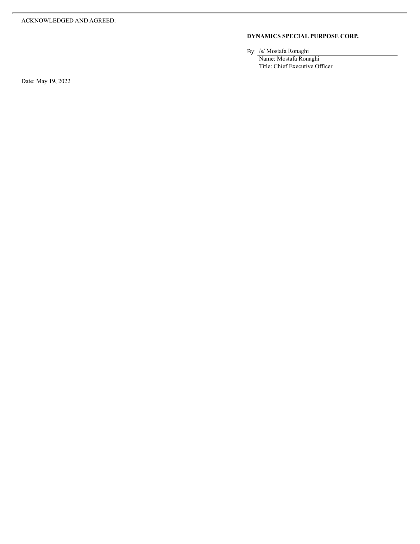#### **DYNAMICS SPECIAL PURPOSE CORP.**

By: /s/ Mostafa Ronaghi

Name: Mostafa Ronaghi Title: Chief Executive Officer

Date: May 19, 2022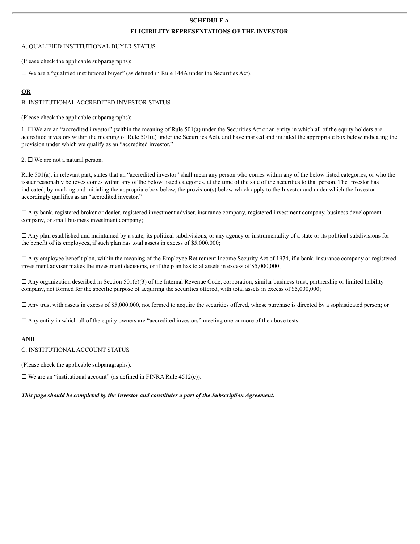#### **SCHEDULE A**

#### **ELIGIBILITY REPRESENTATIONS OF THE INVESTOR**

#### A. QUALIFIED INSTITUTIONAL BUYER STATUS

(Please check the applicable subparagraphs):

 $\Box$  We are a "qualified institutional buyer" (as defined in Rule 144A under the Securities Act).

#### **OR**

#### B. INSTITUTIONAL ACCREDITED INVESTOR STATUS

(Please check the applicable subparagraphs):

 $1. \Box$  We are an "accredited investor" (within the meaning of Rule 501(a) under the Securities Act or an entity in which all of the equity holders are accredited investors within the meaning of Rule 501(a) under the Securities Act), and have marked and initialed the appropriate box below indicating the provision under which we qualify as an "accredited investor."

2.  $\Box$  We are not a natural person.

Rule 501(a), in relevant part, states that an "accredited investor" shall mean any person who comes within any of the below listed categories, or who the issuer reasonably believes comes within any of the below listed categories, at the time of the sale of the securities to that person. The Investor has indicated, by marking and initialing the appropriate box below, the provision(s) below which apply to the Investor and under which the Investor accordingly qualifies as an "accredited investor."

☐ Any bank, registered broker or dealer, registered investment adviser, insurance company, registered investment company, business development company, or small business investment company;

 $\Box$  Any plan established and maintained by a state, its political subdivisions, or any agency or instrumentality of a state or its political subdivisions for the benefit of its employees, if such plan has total assets in excess of \$5,000,000;

 $\Box$  Any employee benefit plan, within the meaning of the Employee Retirement Income Security Act of 1974, if a bank, insurance company or registered investment adviser makes the investment decisions, or if the plan has total assets in excess of \$5,000,000;

 $\Box$  Any organization described in Section 501(c)(3) of the Internal Revenue Code, corporation, similar business trust, partnership or limited liability company, not formed for the specific purpose of acquiring the securities offered, with total assets in excess of \$5,000,000;

 $\Box$  Any trust with assets in excess of \$5,000,000, not formed to acquire the securities offered, whose purchase is directed by a sophisticated person; or

 $\Box$  Any entity in which all of the equity owners are "accredited investors" meeting one or more of the above tests.

#### **AND**

C. INSTITUTIONAL ACCOUNT STATUS

(Please check the applicable subparagraphs):

 $\Box$  We are an "institutional account" (as defined in FINRA Rule 4512(c)).

*This page should be completed by the Investor and constitutes a part of the Subscription Agreement.*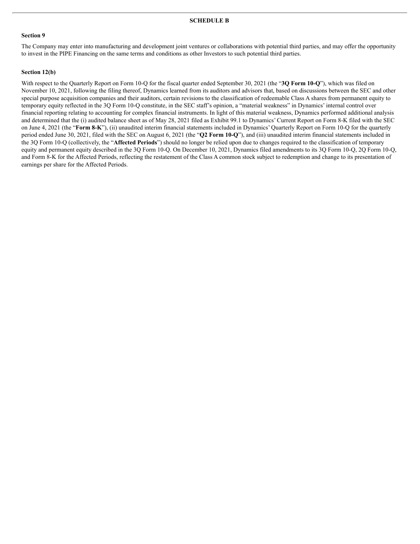#### **SCHEDULE B**

#### **Section 9**

The Company may enter into manufacturing and development joint ventures or collaborations with potential third parties, and may offer the opportunity to invest in the PIPE Financing on the same terms and conditions as other Investors to such potential third parties.

#### **Section 12(b)**

With respect to the Quarterly Report on Form 10-Q for the fiscal quarter ended September 30, 2021 (the "**3Q Form 10-Q**"), which was filed on November 10, 2021, following the filing thereof, Dynamics learned from its auditors and advisors that, based on discussions between the SEC and other special purpose acquisition companies and their auditors, certain revisions to the classification of redeemable Class A shares from permanent equity to temporary equity reflected in the 3Q Form 10-Q constitute, in the SEC staff's opinion, a "material weakness" in Dynamics' internal control over financial reporting relating to accounting for complex financial instruments. In light of this material weakness, Dynamics performed additional analysis and determined that the (i) audited balance sheet as of May 28, 2021 filed as Exhibit 99.1 to Dynamics' Current Report on Form 8-K filed with the SEC on June 4, 2021 (the "**Form 8-K**"), (ii) unaudited interim financial statements included in Dynamics' Quarterly Report on Form 10-Q for the quarterly period ended June 30, 2021, filed with the SEC on August 6, 2021 (the "**Q2 Form 10-Q**"), and (iii) unaudited interim financial statements included in the 3Q Form 10-Q (collectively, the "**Affected Periods**") should no longer be relied upon due to changes required to the classification of temporary equity and permanent equity described in the 3Q Form 10-Q. On December 10, 2021, Dynamics filed amendments to its 3Q Form 10-Q, 2Q Form 10-Q, and Form 8-K for the Affected Periods, reflecting the restatement of the Class A common stock subject to redemption and change to its presentation of earnings per share for the Affected Periods.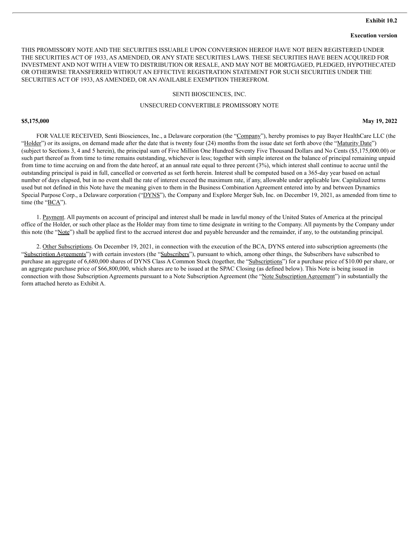#### **Exhibit 10.2**

#### **Execution version**

THIS PROMISSORY NOTE AND THE SECURITIES ISSUABLE UPON CONVERSION HEREOF HAVE NOT BEEN REGISTERED UNDER THE SECURITIES ACT OF 1933, AS AMENDED, OR ANY STATE SECURITIES LAWS. THESE SECURITIES HAVE BEEN ACQUIRED FOR INVESTMENT AND NOT WITH A VIEW TO DISTRIBUTION OR RESALE, AND MAY NOT BE MORTGAGED, PLEDGED, HYPOTHECATED OR OTHERWISE TRANSFERRED WITHOUT AN EFFECTIVE REGISTRATION STATEMENT FOR SUCH SECURITIES UNDER THE SECURITIES ACT OF 1933, AS AMENDED, OR AN AVAILABLE EXEMPTION THEREFROM.

#### SENTI BIOSCIENCES, INC.

#### UNSECURED CONVERTIBLE PROMISSORY NOTE

**\$5,175,000 May 19, 2022**

FOR VALUE RECEIVED, Senti Biosciences, Inc., a Delaware corporation (the "Company"), hereby promises to pay Bayer HealthCare LLC (the "Holder") or its assigns, on demand made after the date that is twenty four (24) months from the issue date set forth above (the "Maturity Date") (subject to Sections 3, 4 and 5 herein), the principal sum of Five Million One Hundred Seventy Five Thousand Dollars and No Cents (\$5,175,000.00) or such part thereof as from time to time remains outstanding, whichever is less; together with simple interest on the balance of principal remaining unpaid from time to time accruing on and from the date hereof, at an annual rate equal to three percent (3%), which interest shall continue to accrue until the outstanding principal is paid in full, cancelled or converted as set forth herein. Interest shall be computed based on a 365-day year based on actual number of days elapsed, but in no event shall the rate of interest exceed the maximum rate, if any, allowable under applicable law. Capitalized terms used but not defined in this Note have the meaning given to them in the Business Combination Agreement entered into by and between Dynamics Special Purpose Corp., a Delaware corporation ("DYNS"), the Company and Explore Merger Sub, Inc. on December 19, 2021, as amended from time to time (the " $BCA$ ").

1. Payment. All payments on account of principal and interest shall be made in lawful money of the United States of America at the principal office of the Holder, or such other place as the Holder may from time to time designate in writing to the Company. All payments by the Company under this note (the "Note") shall be applied first to the accrued interest due and payable hereunder and the remainder, if any, to the outstanding principal.

2. Other Subscriptions. On December 19, 2021, in connection with the execution of the BCA, DYNS entered into subscription agreements (the "Subscription Agreements") with certain investors (the "Subscribers"), pursuant to which, among other things, the Subscribers have subscribed to purchase an aggregate of 6,680,000 shares of DYNS Class A Common Stock (together, the "Subscriptions") for a purchase price of \$10.00 per share, or an aggregate purchase price of \$66,800,000, which shares are to be issued at the SPAC Closing (as defined below). This Note is being issued in connection with those Subscription Agreements pursuant to a Note Subscription Agreement (the "Note Subscription Agreement") in substantially the form attached hereto as Exhibit A.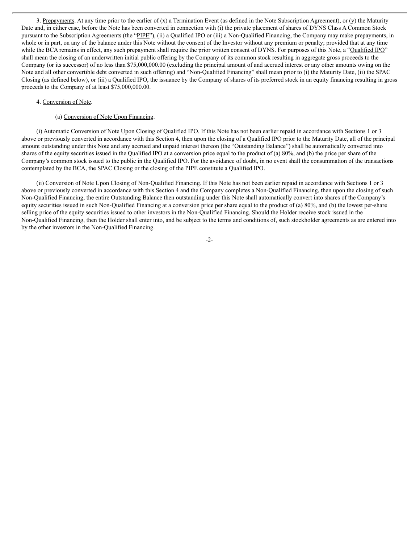3. Prepayments. At any time prior to the earlier of (x) a Termination Event (as defined in the Note Subscription Agreement), or (y) the Maturity Date and, in either case, before the Note has been converted in connection with (i) the private placement of shares of DYNS Class A Common Stock pursuant to the Subscription Agreements (the "PIPE"), (ii) a Qualified IPO or (iii) a Non-Qualified Financing, the Company may make prepayments, in whole or in part, on any of the balance under this Note without the consent of the Investor without any premium or penalty; provided that at any time while the BCA remains in effect, any such prepayment shall require the prior written consent of DYNS. For purposes of this Note, a "Qualified IPO" shall mean the closing of an underwritten initial public offering by the Company of its common stock resulting in aggregate gross proceeds to the Company (or its successor) of no less than \$75,000,000.00 (excluding the principal amount of and accrued interest or any other amounts owing on the Note and all other convertible debt converted in such offering) and "Non-Qualified Financing" shall mean prior to (i) the Maturity Date, (ii) the SPAC Closing (as defined below), or (iii) a Qualified IPO, the issuance by the Company of shares of its preferred stock in an equity financing resulting in gross proceeds to the Company of at least \$75,000,000.00.

#### 4. Conversion of Note.

#### (a) Conversion of Note Upon Financing.

(i) Automatic Conversion of Note Upon Closing of Qualified IPO. If this Note has not been earlier repaid in accordance with Sections 1 or 3 above or previously converted in accordance with this Section 4, then upon the closing of a Qualified IPO prior to the Maturity Date, all of the principal amount outstanding under this Note and any accrued and unpaid interest thereon (the "Outstanding Balance") shall be automatically converted into shares of the equity securities issued in the Qualified IPO at a conversion price equal to the product of (a) 80%, and (b) the price per share of the Company's common stock issued to the public in the Qualified IPO. For the avoidance of doubt, in no event shall the consummation of the transactions contemplated by the BCA, the SPAC Closing or the closing of the PIPE constitute a Qualified IPO.

(ii) Conversion of Note Upon Closing of Non-Qualified Financing. If this Note has not been earlier repaid in accordance with Sections 1 or 3 above or previously converted in accordance with this Section 4 and the Company completes a Non-Qualified Financing, then upon the closing of such Non-Qualified Financing, the entire Outstanding Balance then outstanding under this Note shall automatically convert into shares of the Company's equity securities issued in such Non-Qualified Financing at a conversion price per share equal to the product of (a) 80%, and (b) the lowest per-share selling price of the equity securities issued to other investors in the Non-Qualified Financing. Should the Holder receive stock issued in the Non-Qualified Financing, then the Holder shall enter into, and be subject to the terms and conditions of, such stockholder agreements as are entered into by the other investors in the Non-Qualified Financing.

#### -2-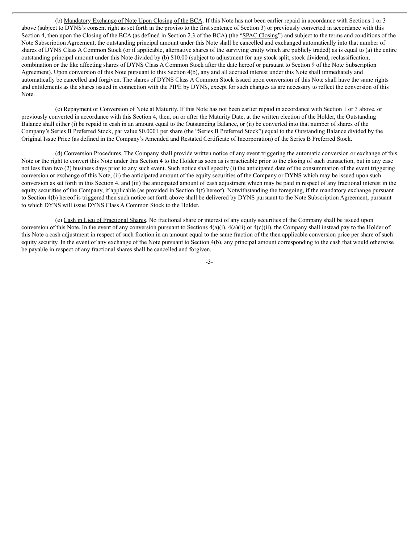(b) Mandatory Exchange of Note Upon Closing of the BCA. If this Note has not been earlier repaid in accordance with Sections 1 or 3 above (subject to DYNS's consent right as set forth in the proviso to the first sentence of Section 3) or previously converted in accordance with this Section 4, then upon the Closing of the BCA (as defined in Section 2.3 of the BCA) (the "SPAC Closing") and subject to the terms and conditions of the Note Subscription Agreement, the outstanding principal amount under this Note shall be cancelled and exchanged automatically into that number of shares of DYNS Class A Common Stock (or if applicable, alternative shares of the surviving entity which are publicly traded) as is equal to (a) the entire outstanding principal amount under this Note divided by (b) \$10.00 (subject to adjustment for any stock split, stock dividend, reclassification, combination or the like affecting shares of DYNS Class A Common Stock after the date hereof or pursuant to Section 9 of the Note Subscription Agreement). Upon conversion of this Note pursuant to this Section 4(b), any and all accrued interest under this Note shall immediately and automatically be cancelled and forgiven. The shares of DYNS Class A Common Stock issued upon conversion of this Note shall have the same rights and entitlements as the shares issued in connection with the PIPE by DYNS, except for such changes as are necessary to reflect the conversion of this Note.

(c) Repayment or Conversion of Note at Maturity. If this Note has not been earlier repaid in accordance with Section 1 or 3 above, or previously converted in accordance with this Section 4, then, on or after the Maturity Date, at the written election of the Holder, the Outstanding Balance shall either (i) be repaid in cash in an amount equal to the Outstanding Balance, or (ii) be converted into that number of shares of the Company's Series B Preferred Stock, par value \$0.0001 per share (the "Series B Preferred Stock") equal to the Outstanding Balance divided by the Original Issue Price (as defined in the Company's Amended and Restated Certificate of Incorporation) of the Series B Preferred Stock.

(d) Conversion Procedures. The Company shall provide written notice of any event triggering the automatic conversion or exchange of this Note or the right to convert this Note under this Section 4 to the Holder as soon as is practicable prior to the closing of such transaction, but in any case not less than two (2) business days prior to any such event. Such notice shall specify (i) the anticipated date of the consummation of the event triggering conversion or exchange of this Note, (ii) the anticipated amount of the equity securities of the Company or DYNS which may be issued upon such conversion as set forth in this Section 4, and (iii) the anticipated amount of cash adjustment which may be paid in respect of any fractional interest in the equity securities of the Company, if applicable (as provided in Section  $4(f)$  hereof). Notwithstanding the foregoing, if the mandatory exchange pursuant to Section 4(b) hereof is triggered then such notice set forth above shall be delivered by DYNS pursuant to the Note Subscription Agreement, pursuant to which DYNS will issue DYNS Class A Common Stock to the Holder.

(e) Cash in Lieu of Fractional Shares. No fractional share or interest of any equity securities of the Company shall be issued upon conversion of this Note. In the event of any conversion pursuant to Sections  $4(a)(i)$ ,  $4(a)(ii)$  or  $4(c)(ii)$ , the Company shall instead pay to the Holder of this Note a cash adjustment in respect of such fraction in an amount equal to the same fraction of the then applicable conversion price per share of such equity security. In the event of any exchange of the Note pursuant to Section 4(b), any principal amount corresponding to the cash that would otherwise be payable in respect of any fractional shares shall be cancelled and forgiven.

-3-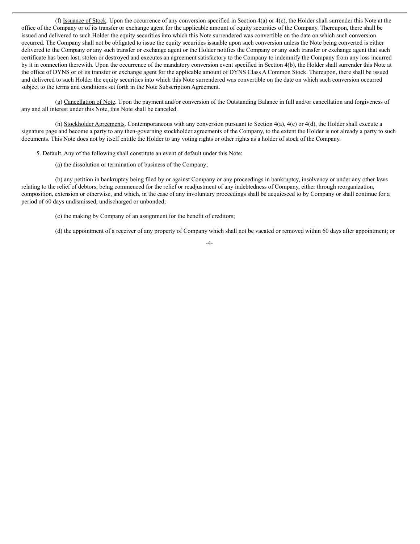(f) Issuance of Stock. Upon the occurrence of any conversion specified in Section 4(a) or 4(c), the Holder shall surrender this Note at the office of the Company or of its transfer or exchange agent for the applicable amount of equity securities of the Company. Thereupon, there shall be issued and delivered to such Holder the equity securities into which this Note surrendered was convertible on the date on which such conversion occurred. The Company shall not be obligated to issue the equity securities issuable upon such conversion unless the Note being converted is either delivered to the Company or any such transfer or exchange agent or the Holder notifies the Company or any such transfer or exchange agent that such certificate has been lost, stolen or destroyed and executes an agreement satisfactory to the Company to indemnify the Company from any loss incurred by it in connection therewith. Upon the occurrence of the mandatory conversion event specified in Section 4(b), the Holder shall surrender this Note at the office of DYNS or of its transfer or exchange agent for the applicable amount of DYNS Class A Common Stock. Thereupon, there shall be issued and delivered to such Holder the equity securities into which this Note surrendered was convertible on the date on which such conversion occurred subject to the terms and conditions set forth in the Note Subscription Agreement.

(g) Cancellation of Note. Upon the payment and/or conversion of the Outstanding Balance in full and/or cancellation and forgiveness of any and all interest under this Note, this Note shall be canceled.

(h) Stockholder Agreements. Contemporaneous with any conversion pursuant to Section 4(a), 4(c) or 4(d), the Holder shall execute a signature page and become a party to any then-governing stockholder agreements of the Company, to the extent the Holder is not already a party to such documents. This Note does not by itself entitle the Holder to any voting rights or other rights as a holder of stock of the Company.

5. Default. Any of the following shall constitute an event of default under this Note:

(a) the dissolution or termination of business of the Company;

(b) any petition in bankruptcy being filed by or against Company or any proceedings in bankruptcy, insolvency or under any other laws relating to the relief of debtors, being commenced for the relief or readjustment of any indebtedness of Company, either through reorganization, composition, extension or otherwise, and which, in the case of any involuntary proceedings shall be acquiesced to by Company or shall continue for a period of 60 days undismissed, undischarged or unbonded;

(c) the making by Company of an assignment for the benefit of creditors;

(d) the appointment of a receiver of any property of Company which shall not be vacated or removed within 60 days after appointment; or

-4-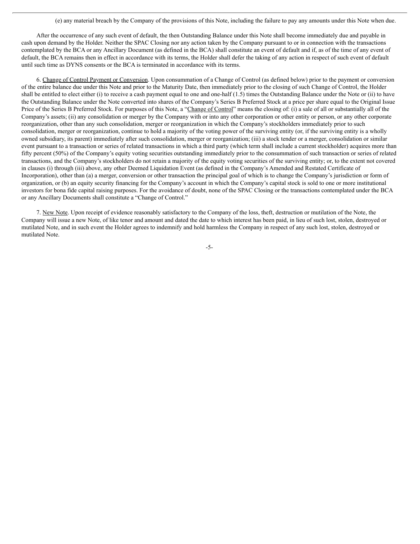(e) any material breach by the Company of the provisions of this Note, including the failure to pay any amounts under this Note when due.

After the occurrence of any such event of default, the then Outstanding Balance under this Note shall become immediately due and payable in cash upon demand by the Holder. Neither the SPAC Closing nor any action taken by the Company pursuant to or in connection with the transactions contemplated by the BCA or any Ancillary Document (as defined in the BCA) shall constitute an event of default and if, as of the time of any event of default, the BCA remains then in effect in accordance with its terms, the Holder shall defer the taking of any action in respect of such event of default until such time as DYNS consents or the BCA is terminated in accordance with its terms.

6. Change of Control Payment or Conversion. Upon consummation of a Change of Control (as defined below) prior to the payment or conversion of the entire balance due under this Note and prior to the Maturity Date, then immediately prior to the closing of such Change of Control, the Holder shall be entitled to elect either (i) to receive a cash payment equal to one and one-half  $(1.5)$  times the Outstanding Balance under the Note or (ii) to have the Outstanding Balance under the Note converted into shares of the Company's Series B Preferred Stock at a price per share equal to the Original Issue Price of the Series B Preferred Stock. For purposes of this Note, a "Change of Control" means the closing of: (i) a sale of all or substantially all of the Company's assets; (ii) any consolidation or merger by the Company with or into any other corporation or other entity or person, or any other corporate reorganization, other than any such consolidation, merger or reorganization in which the Company's stockholders immediately prior to such consolidation, merger or reorganization, continue to hold a majority of the voting power of the surviving entity (or, if the surviving entity is a wholly owned subsidiary, its parent) immediately after such consolidation, merger or reorganization; (iii) a stock tender or a merger, consolidation or similar event pursuant to a transaction or series of related transactions in which a third party (which term shall include a current stockholder) acquires more than fifty percent (50%) of the Company's equity voting securities outstanding immediately prior to the consummation of such transaction or series of related transactions, and the Company's stockholders do not retain a majority of the equity voting securities of the surviving entity; or, to the extent not covered in clauses (i) through (iii) above, any other Deemed Liquidation Event (as defined in the Company's Amended and Restated Certificate of Incorporation), other than (a) a merger, conversion or other transaction the principal goal of which is to change the Company's jurisdiction or form of organization, or (b) an equity security financing for the Company's account in which the Company's capital stock is sold to one or more institutional investors for bona fide capital raising purposes. For the avoidance of doubt, none of the SPAC Closing or the transactions contemplated under the BCA or any Ancillary Documents shall constitute a "Change of Control."

7. New Note. Upon receipt of evidence reasonably satisfactory to the Company of the loss, theft, destruction or mutilation of the Note, the Company will issue a new Note, of like tenor and amount and dated the date to which interest has been paid, in lieu of such lost, stolen, destroyed or mutilated Note, and in such event the Holder agrees to indemnify and hold harmless the Company in respect of any such lost, stolen, destroyed or mutilated Note.

-5-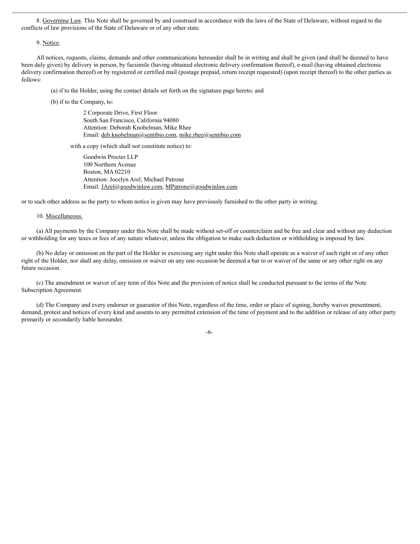8. Governing Law. This Note shall be governed by and construed in accordance with the laws of the State of Delaware, without regard to the conflicts of law provisions of the State of Delaware or of any other state.

9. Notice.

All notices, requests, claims, demands and other communications hereunder shall be in writing and shall be given (and shall be deemed to have been duly given) by delivery in person, by facsimile (having obtained electronic delivery confirmation thereof), e-mail (having obtained electronic delivery confirmation thereof) or by registered or certified mail (postage prepaid, return receipt requested) (upon receipt thereof) to the other parties as follows:

(a) if to the Holder, using the contact details set forth on the signature page hereto; and

(b) if to the Company, to:

2 Corporate Drive, First Floor South San Francisco, California 94080 Attention: Deborah Knobelman, Mike Rhee Email: deb.knobelman@sentibio.com, mike.rhee@sentibio.com

with a copy (which shall not constitute notice) to:

Goodwin Procter LLP 100 Northern Avenue Boston, MA 02210 Attention: Jocelyn Arel, Michael Patrone Email: JArel@goodwinlaw.com, MPatrone@goodwinlaw.com

or to such other address as the party to whom notice is given may have previously furnished to the other party in writing.

#### 10. Miscellaneous.

(a) All payments by the Company under this Note shall be made without set-off or counterclaim and be free and clear and without any deduction or withholding for any taxes or fees of any nature whatever, unless the obligation to make such deduction or withholding is imposed by law.

(b) No delay or omission on the part of the Holder in exercising any right under this Note shall operate as a waiver of such right or of any other right of the Holder, nor shall any delay, omission or waiver on any one occasion be deemed a bar to or waiver of the same or any other right on any future occasion.

(c) The amendment or waiver of any term of this Note and the provision of notice shall be conducted pursuant to the terms of the Note Subscription Agreement.

(d) The Company and every endorser or guarantor of this Note, regardless of the time, order or place of signing, hereby waives presentment, demand, protest and notices of every kind and assents to any permitted extension of the time of payment and to the addition or release of any other party primarily or secondarily liable hereunder.

-6-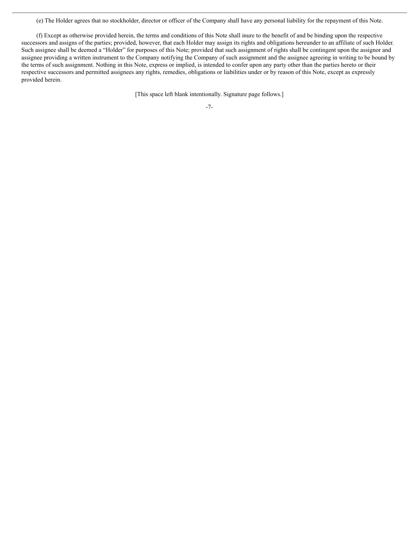(e) The Holder agrees that no stockholder, director or officer of the Company shall have any personal liability for the repayment of this Note.

(f) Except as otherwise provided herein, the terms and conditions of this Note shall inure to the benefit of and be binding upon the respective successors and assigns of the parties; provided, however, that each Holder may assign its rights and obligations hereunder to an affiliate of such Holder. Such assignee shall be deemed a "Holder" for purposes of this Note; provided that such assignment of rights shall be contingent upon the assignor and assignee providing a written instrument to the Company notifying the Company of such assignment and the assignee agreeing in writing to be bound by the terms of such assignment. Nothing in this Note, express or implied, is intended to confer upon any party other than the parties hereto or their respective successors and permitted assignees any rights, remedies, obligations or liabilities under or by reason of this Note, except as expressly provided herein.

[This space left blank intentionally. Signature page follows.]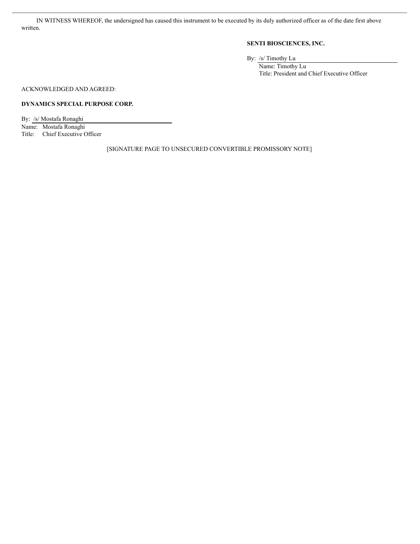IN WITNESS WHEREOF, the undersigned has caused this instrument to be executed by its duly authorized officer as of the date first above written.

#### **SENTI BIOSCIENCES, INC.**

By: /s/ Timothy Lu

Name: Timothy Lu Title: President and Chief Executive Officer

ACKNOWLEDGED AND AGREED:

#### **DYNAMICS SPECIAL PURPOSE CORP.**

By: /s/ Mostafa Ronaghi Name: Mostafa Ronaghi Title: Chief Executive Officer

[SIGNATURE PAGE TO UNSECURED CONVERTIBLE PROMISSORY NOTE]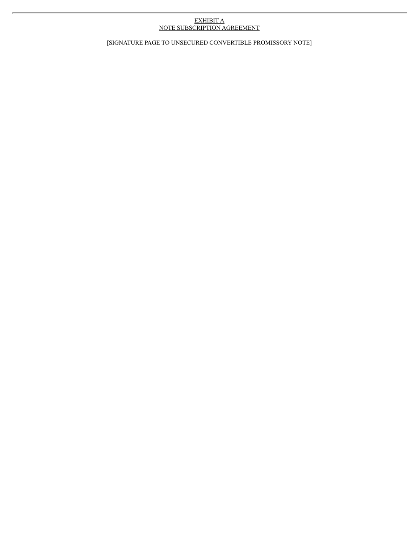#### EXHIBIT A NOTE SUBSCRIPTION AGREEMENT

[SIGNATURE PAGE TO UNSECURED CONVERTIBLE PROMISSORY NOTE]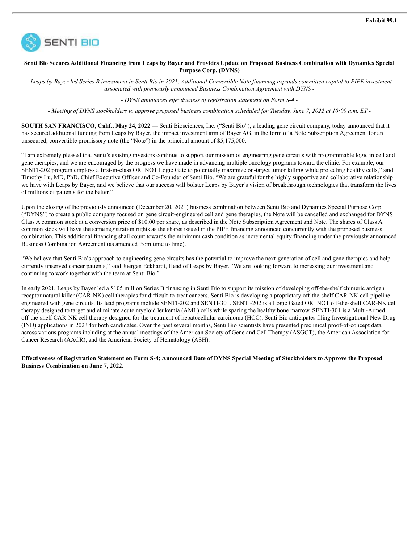

#### Senti Bio Secures Additional Financing from Leaps by Bayer and Provides Update on Proposed Business Combination with Dynamics Special **Purpose Corp. (DYNS)**

- Leaps by Bayer led Series B investment in Senti Bio in 2021; Additional Convertible Note financing expands committed capital to PIPE investment *associated with previously announced Business Combination Agreement with DYNS -*

*- DYNS announces ef ectiveness of registration statement on Form S-4 -*

- Meeting of DYNS stockholders to approve proposed business combination scheduled for Tuesday, June 7, 2022 at 10:00 a.m. ET -

**SOUTH SAN FRANCISCO, Calif., May 24, 2022** — Senti Biosciences, Inc. ("Senti Bio"), a leading gene circuit company, today announced that it has secured additional funding from Leaps by Bayer, the impact investment arm of Bayer AG, in the form of a Note Subscription Agreement for an unsecured, convertible promissory note (the "Note") in the principal amount of \$5,175,000.

"I am extremely pleased that Senti's existing investors continue to support our mission of engineering gene circuits with programmable logic in cell and gene therapies, and we are encouraged by the progress we have made in advancing multiple oncology programs toward the clinic. For example, our SENTI-202 program employs a first-in-class OR+NOT Logic Gate to potentially maximize on-target tumor killing while protecting healthy cells," said Timothy Lu, MD, PhD, Chief Executive Officer and Co-Founder of Senti Bio. "We are grateful for the highly supportive and collaborative relationship we have with Leaps by Bayer, and we believe that our success will bolster Leaps by Bayer's vision of breakthrough technologies that transform the lives of millions of patients for the better."

Upon the closing of the previously announced (December 20, 2021) business combination between Senti Bio and Dynamics Special Purpose Corp. ("DYNS") to create a public company focused on gene circuit-engineered cell and gene therapies, the Note will be cancelled and exchanged for DYNS Class A common stock at a conversion price of \$10.00 per share, as described in the Note Subscription Agreement and Note. The shares of Class A common stock will have the same registration rights as the shares issued in the PIPE financing announced concurrently with the proposed business combination. This additional financing shall count towards the minimum cash condition as incremental equity financing under the previously announced Business Combination Agreement (as amended from time to time).

"We believe that Senti Bio's approach to engineering gene circuits has the potential to improve the next-generation of cell and gene therapies and help currently unserved cancer patients," said Juergen Eckhardt, Head of Leaps by Bayer. "We are looking forward to increasing our investment and continuing to work together with the team at Senti Bio."

In early 2021, Leaps by Bayer led a \$105 million Series B financing in Senti Bio to support its mission of developing off-the-shelf chimeric antigen receptor natural killer (CAR-NK) cell therapies for difficult-to-treat cancers. Senti Bio is developing a proprietary off-the-shelf CAR-NK cell pipeline engineered with gene circuits. Its lead programs include SENTI-202 and SENTI-301. SENTI-202 is a Logic Gated OR+NOT off-the-shelf CAR-NK cell therapy designed to target and eliminate acute myeloid leukemia (AML) cells while sparing the healthy bone marrow. SENTI-301 is a Multi-Armed off-the-shelf CAR-NK cell therapy designed for the treatment of hepatocellular carcinoma (HCC). Senti Bio anticipates filing Investigational New Drug (IND) applications in 2023 for both candidates. Over the past several months, Senti Bio scientists have presented preclinical proof-of-concept data across various programs including at the annual meetings of the American Society of Gene and Cell Therapy (ASGCT), the American Association for Cancer Research (AACR), and the American Society of Hematology (ASH).

Effectiveness of Registration Statement on Form S-4; Announced Date of DYNS Special Meeting of Stockholders to Approve the Proposed **Business Combination on June 7, 2022.**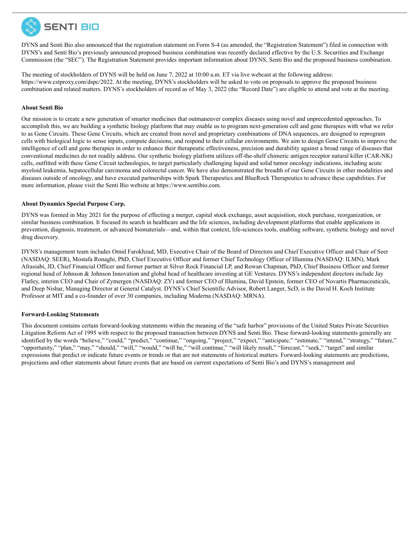

DYNS and Senti Bio also announced that the registration statement on Form S-4 (as amended, the "Registration Statement") filed in connection with DYNS's and Senti Bio's previously announced proposed business combination was recently declared effective by the U.S. Securities and Exchange Commission (the "SEC"). The Registration Statement provides important information about DYNS, Senti Bio and the proposed business combination.

The meeting of stockholders of DYNS will be held on June 7, 2022 at 10:00 a.m. ET via live webcast at the following address: https://www.cstproxy.com/dspc/2022. At the meeting, DYNS's stockholders will be asked to vote on proposals to approve the proposed business combination and related matters. DYNS's stockholders of record as of May 3, 2022 (the "Record Date") are eligible to attend and vote at the meeting.

#### **About Senti Bio**

Our mission is to create a new generation of smarter medicines that outmaneuver complex diseases using novel and unprecedented approaches. To accomplish this, we are building a synthetic biology platform that may enable us to program next-generation cell and gene therapies with what we refer to as Gene Circuits. These Gene Circuits, which are created from novel and proprietary combinations of DNA sequences, are designed to reprogram cells with biological logic to sense inputs, compute decisions, and respond to their cellular environments. We aim to design Gene Circuits to improve the intelligence of cell and gene therapies in order to enhance their therapeutic effectiveness, precision and durability against a broad range of diseases that conventional medicines do not readily address. Our synthetic biology platform utilizes off-the-shelf chimeric antigen receptor natural killer (CAR-NK) cells, outfitted with these Gene Circuit technologies, to target particularly challenging liquid and solid tumor oncology indications, including acute myeloid leukemia, hepatocellular carcinoma and colorectal cancer. We have also demonstrated the breadth of our Gene Circuits in other modalities and diseases outside of oncology, and have executed partnerships with Spark Therapeutics and BlueRock Therapeutics to advance these capabilities. For more information, please visit the Senti Bio website at https://www.sentibio.com.

#### **About Dynamics Special Purpose Corp.**

DYNS was formed in May 2021 for the purpose of effecting a merger, capital stock exchange, asset acquisition, stock purchase, reorganization, or similar business combination. It focused its search in healthcare and the life sciences, including development platforms that enable applications in prevention, diagnosis, treatment, or advanced biomaterials—and, within that context, life-sciences tools, enabling software, synthetic biology and novel drug discovery.

DYNS's management team includes Omid Farokhzad, MD, Executive Chair of the Board of Directors and Chief Executive Officer and Chair of Seer (NASDAQ: SEER), Mostafa Ronaghi, PhD, Chief Executive Officer and former Chief Technology Officer of Illumina (NASDAQ: ILMN), Mark Afrasiabi, JD, Chief Financial Officer and former partner at Silver Rock Financial LP, and Rowan Chapman, PhD, Chief Business Officer and former regional head of Johnson & Johnson Innovation and global head of healthcare investing at GE Ventures. DYNS's independent directors include Jay Flatley, interim CEO and Chair of Zymergen (NASDAQ: ZY) and former CEO of Illumina, David Epstein, former CEO of Novartis Pharmaceuticals, and Deep Nishar, Managing Director at General Catalyst. DYNS's Chief Scientific Advisor, Robert Langer, ScD, is the David H. Koch Institute Professor at MIT and a co-founder of over 30 companies, including Moderna (NASDAQ: MRNA).

#### **Forward-Looking Statements**

This document contains certain forward-looking statements within the meaning of the "safe harbor" provisions of the United States Private Securities Litigation Reform Act of 1995 with respect to the proposed transaction between DYNS and Senti Bio. These forward-looking statements generally are identified by the words "believe," "could," "predict," "continue," "ongoing," "project," "expect," "anticipate," "estimate," "intend," "strategy," "future," "opportunity," "plan," "may," "should," "will," "would," "will be," "will continue," "will likely result," "forecast," "seek," "target" and similar expressions that predict or indicate future events or trends or that are not statements of historical matters. Forward-looking statements are predictions, projections and other statements about future events that are based on current expectations of Senti Bio's and DYNS's management and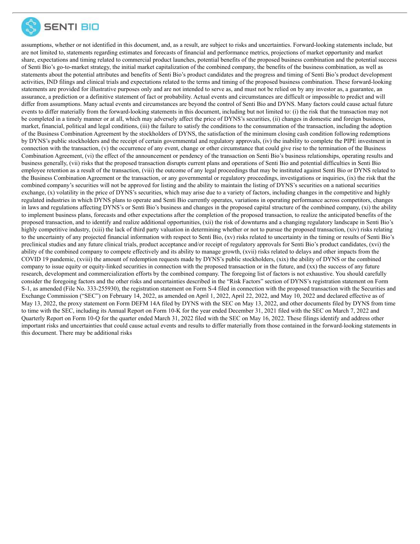

assumptions, whether or not identified in this document, and, as a result, are subject to risks and uncertainties. Forward-looking statements include, but are not limited to, statements regarding estimates and forecasts of financial and performance metrics, projections of market opportunity and market share, expectations and timing related to commercial product launches, potential benefits of the proposed business combination and the potential success of Senti Bio's go-to-market strategy, the initial market capitalization of the combined company, the benefits of the business combination, as well as statements about the potential attributes and benefits of Senti Bio's product candidates and the progress and timing of Senti Bio's product development activities, IND filings and clinical trials and expectations related to the terms and timing of the proposed business combination. These forward-looking statements are provided for illustrative purposes only and are not intended to serve as, and must not be relied on by any investor as, a guarantee, an assurance, a prediction or a definitive statement of fact or probability. Actual events and circumstances are difficult or impossible to predict and will differ from assumptions. Many actual events and circumstances are beyond the control of Senti Bio and DYNS. Many factors could cause actual future events to differ materially from the forward-looking statements in this document, including but not limited to: (i) the risk that the transaction may not be completed in a timely manner or at all, which may adversely affect the price of DYNS's securities, (ii) changes in domestic and foreign business, market, financial, political and legal conditions, (iii) the failure to satisfy the conditions to the consummation of the transaction, including the adoption of the Business Combination Agreement by the stockholders of DYNS, the satisfaction of the minimum closing cash condition following redemptions by DYNS's public stockholders and the receipt of certain governmental and regulatory approvals, (iv) the inability to complete the PIPE investment in connection with the transaction, (v) the occurrence of any event, change or other circumstance that could give rise to the termination of the Business Combination Agreement, (vi) the effect of the announcement or pendency of the transaction on Senti Bio's business relationships, operating results and business generally, (vii) risks that the proposed transaction disrupts current plans and operations of Senti Bio and potential difficulties in Senti Bio employee retention as a result of the transaction, (viii) the outcome of any legal proceedings that may be instituted against Senti Bio or DYNS related to the Business Combination Agreement or the transaction, or any governmental or regulatory proceedings, investigations or inquiries, (ix) the risk that the combined company's securities will not be approved for listing and the ability to maintain the listing of DYNS's securities on a national securities exchange, (x) volatility in the price of DYNS's securities, which may arise due to a variety of factors, including changes in the competitive and highly regulated industries in which DYNS plans to operate and Senti Bio currently operates, variations in operating performance across competitors, changes in laws and regulations affecting DYNS's or Senti Bio's business and changes in the proposed capital structure of the combined company, (xi) the ability to implement business plans, forecasts and other expectations after the completion of the proposed transaction, to realize the anticipated benefits of the proposed transaction, and to identify and realize additional opportunities, (xii) the risk of downturns and a changing regulatory landscape in Senti Bio's highly competitive industry, (xiii) the lack of third party valuation in determining whether or not to pursue the proposed transaction, (xiv) risks relating to the uncertainty of any projected financial information with respect to Senti Bio, (xv) risks related to uncertainty in the timing or results of Senti Bio's preclinical studies and any future clinical trials, product acceptance and/or receipt of regulatory approvals for Senti Bio's product candidates, (xvi) the ability of the combined company to compete effectively and its ability to manage growth, (xvii) risks related to delays and other impacts from the COVID 19 pandemic, (xviii) the amount of redemption requests made by DYNS's public stockholders, (xix) the ability of DYNS or the combined company to issue equity or equity-linked securities in connection with the proposed transaction or in the future, and (xx) the success of any future research, development and commercialization efforts by the combined company. The foregoing list of factors is not exhaustive. You should carefully consider the foregoing factors and the other risks and uncertainties described in the "Risk Factors" section of DYNS's registration statement on Form S-1, as amended (File No. 333-255930), the registration statement on Form S-4 filed in connection with the proposed transaction with the Securities and Exchange Commission ("SEC") on February 14, 2022, as amended on April 1, 2022, April 22, 2022, and May 10, 2022 and declared effective as of May 13, 2022, the proxy statement on Form DEFM 14A filed by DYNS with the SEC on May 13, 2022, and other documents filed by DYNS from time to time with the SEC, including its Annual Report on Form 10-K for the year ended December 31, 2021 filed with the SEC on March 7, 2022 and Quarterly Report on Form 10-Q for the quarter ended March 31, 2022 filed with the SEC on May 16, 2022. These filings identify and address other important risks and uncertainties that could cause actual events and results to differ materially from those contained in the forward-looking statements in this document. There may be additional risks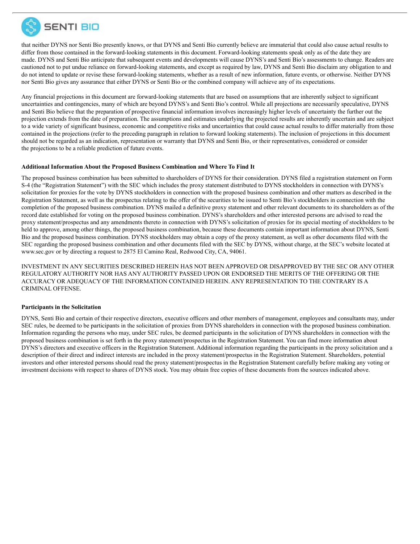

that neither DYNS nor Senti Bio presently knows, or that DYNS and Senti Bio currently believe are immaterial that could also cause actual results to differ from those contained in the forward-looking statements in this document. Forward-looking statements speak only as of the date they are made. DYNS and Senti Bio anticipate that subsequent events and developments will cause DYNS's and Senti Bio's assessments to change. Readers are cautioned not to put undue reliance on forward-looking statements, and except as required by law, DYNS and Senti Bio disclaim any obligation to and do not intend to update or revise these forward-looking statements, whether as a result of new information, future events, or otherwise. Neither DYNS nor Senti Bio gives any assurance that either DYNS or Senti Bio or the combined company will achieve any of its expectations.

Any financial projections in this document are forward-looking statements that are based on assumptions that are inherently subject to significant uncertainties and contingencies, many of which are beyond DYNS's and Senti Bio's control. While all projections are necessarily speculative, DYNS and Senti Bio believe that the preparation of prospective financial information involves increasingly higher levels of uncertainty the further out the projection extends from the date of preparation. The assumptions and estimates underlying the projected results are inherently uncertain and are subject to a wide variety of significant business, economic and competitive risks and uncertainties that could cause actual results to differ materially from those contained in the projections (refer to the preceding paragraph in relation to forward looking statements). The inclusion of projections in this document should not be regarded as an indication, representation or warranty that DYNS and Senti Bio, or their representatives, considered or consider the projections to be a reliable prediction of future events.

#### **Additional Information About the Proposed Business Combination and Where To Find It**

The proposed business combination has been submitted to shareholders of DYNS for their consideration. DYNS filed a registration statement on Form S-4 (the "Registration Statement") with the SEC which includes the proxy statement distributed to DYNS stockholders in connection with DYNS's solicitation for proxies for the vote by DYNS stockholders in connection with the proposed business combination and other matters as described in the Registration Statement, as well as the prospectus relating to the offer of the securities to be issued to Senti Bio's stockholders in connection with the completion of the proposed business combination. DYNS mailed a definitive proxy statement and other relevant documents to its shareholders as of the record date established for voting on the proposed business combination. DYNS's shareholders and other interested persons are advised to read the proxy statement/prospectus and any amendments thereto in connection with DYNS's solicitation of proxies for its special meeting of stockholders to be held to approve, among other things, the proposed business combination, because these documents contain important information about DYNS, Senti Bio and the proposed business combination. DYNS stockholders may obtain a copy of the proxy statement, as well as other documents filed with the SEC regarding the proposed business combination and other documents filed with the SEC by DYNS, without charge, at the SEC's website located at www.sec.gov or by directing a request to 2875 El Camino Real, Redwood City, CA, 94061.

INVESTMENT IN ANY SECURITIES DESCRIBED HEREIN HAS NOT BEEN APPROVED OR DISAPPROVED BY THE SEC OR ANY OTHER REGULATORY AUTHORITY NOR HAS ANY AUTHORITY PASSED UPON OR ENDORSED THE MERITS OF THE OFFERING OR THE ACCURACY OR ADEQUACY OF THE INFORMATION CONTAINED HEREIN. ANY REPRESENTATION TO THE CONTRARY IS A CRIMINAL OFFENSE.

#### **Participants in the Solicitation**

DYNS, Senti Bio and certain of their respective directors, executive officers and other members of management, employees and consultants may, under SEC rules, be deemed to be participants in the solicitation of proxies from DYNS shareholders in connection with the proposed business combination. Information regarding the persons who may, under SEC rules, be deemed participants in the solicitation of DYNS shareholders in connection with the proposed business combination is set forth in the proxy statement/prospectus in the Registration Statement. You can find more information about DYNS's directors and executive officers in the Registration Statement. Additional information regarding the participants in the proxy solicitation and a description of their direct and indirect interests are included in the proxy statement/prospectus in the Registration Statement. Shareholders, potential investors and other interested persons should read the proxy statement/prospectus in the Registration Statement carefully before making any voting or investment decisions with respect to shares of DYNS stock. You may obtain free copies of these documents from the sources indicated above.